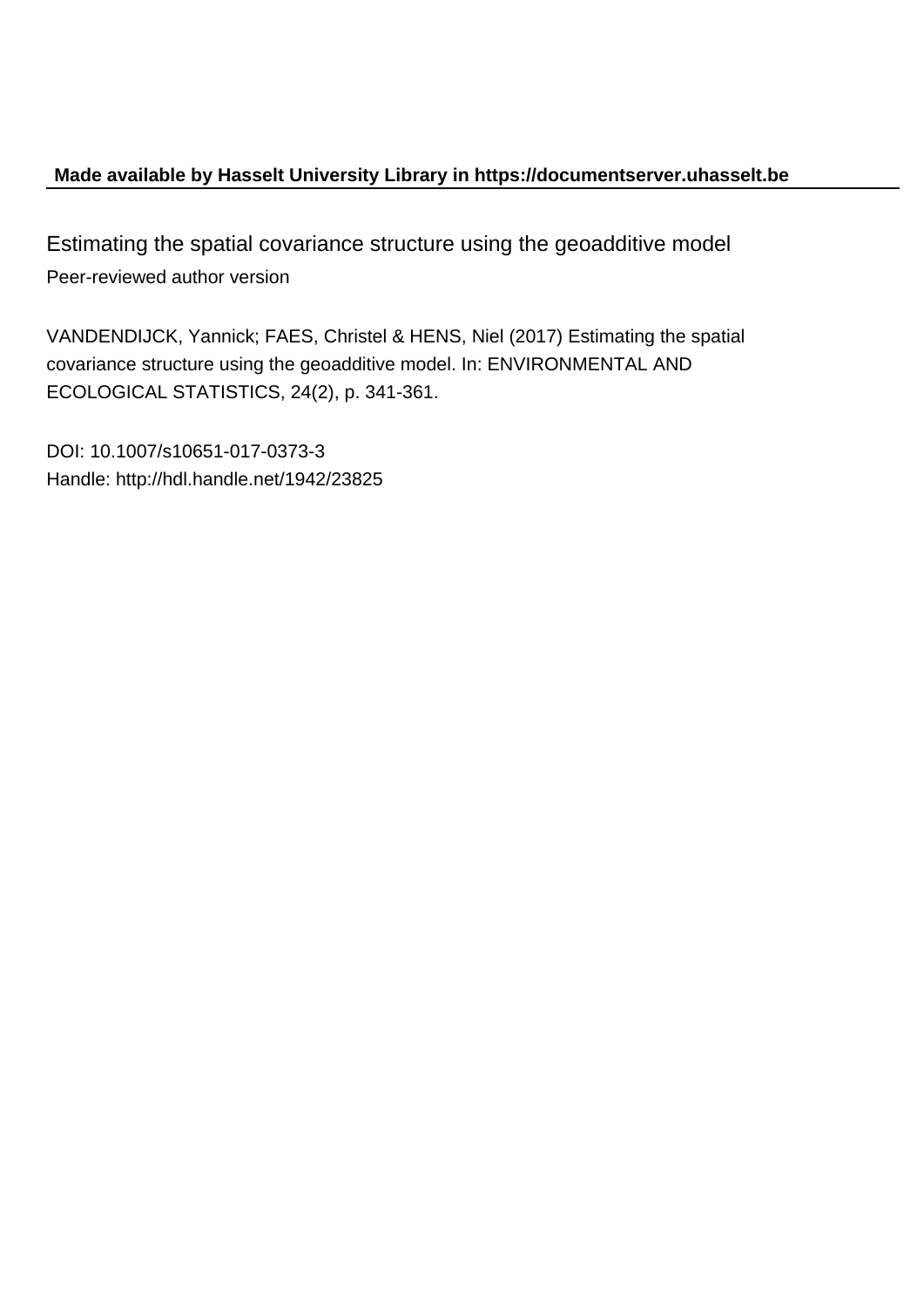### **Made available by Hasselt University Library in https://documentserver.uhasselt.be**

Estimating the spatial covariance structure using the geoadditive model Peer-reviewed author version

VANDENDIJCK, Yannick; FAES, Christel & HENS, Niel (2017) Estimating the spatial covariance structure using the geoadditive model. In: ENVIRONMENTAL AND ECOLOGICAL STATISTICS, 24(2), p. 341-361.

DOI: 10.1007/s10651-017-0373-3 Handle: http://hdl.handle.net/1942/23825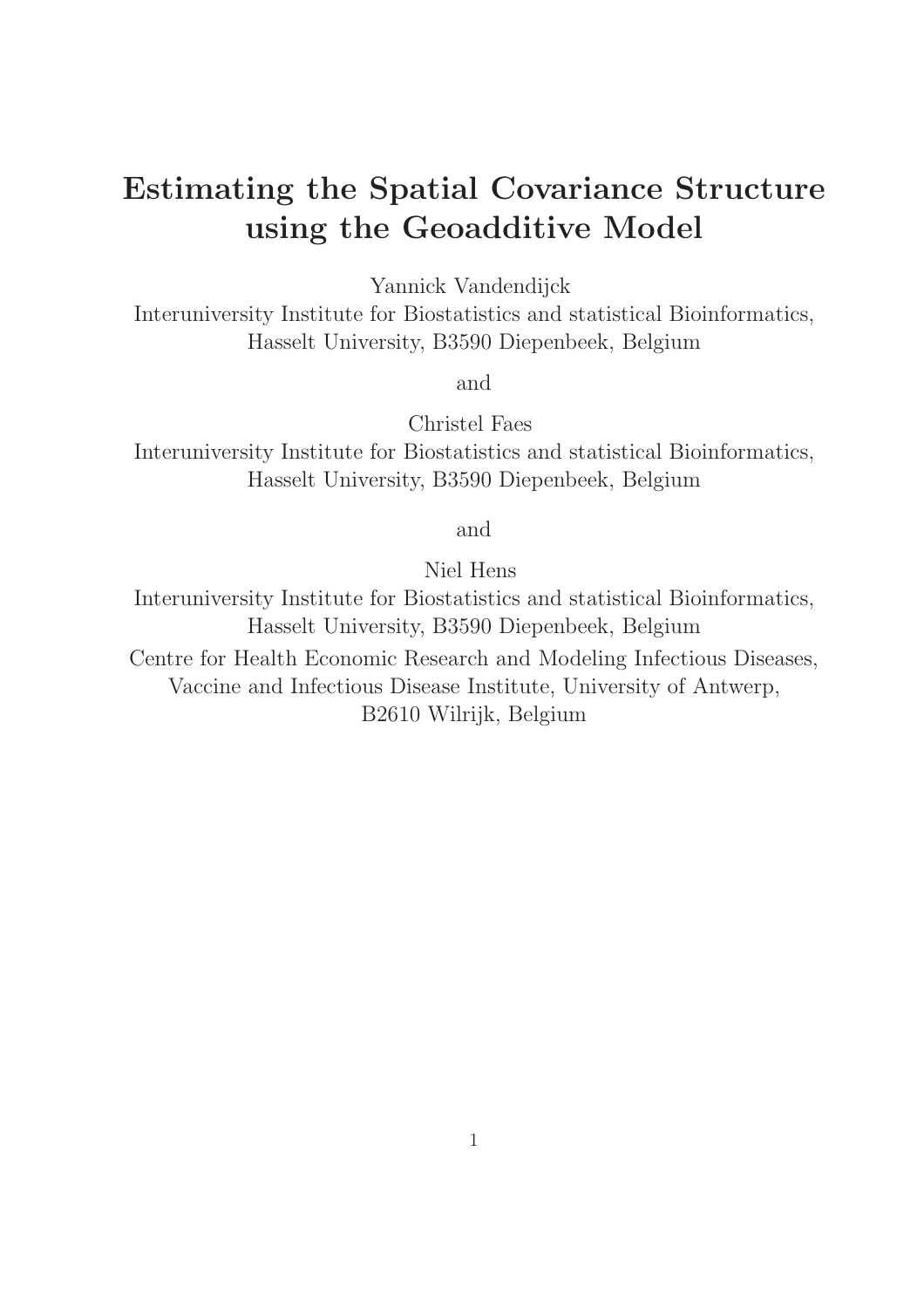# Estimating the Spatial Covariance Structure using the Geoadditive Model

Yannick Vandendijck

Interuniversity Institute for Biostatistics and statistical Bioinformatics, Hasselt University, B3590 Diepenbeek, Belgium

and

Christel Faes

Interuniversity Institute for Biostatistics and statistical Bioinformatics, Hasselt University, B3590 Diepenbeek, Belgium

and

Niel Hens

Interuniversity Institute for Biostatistics and statistical Bioinformatics, Hasselt University, B3590 Diepenbeek, Belgium Centre for Health Economic Research and Modeling Infectious Diseases, Vaccine and Infectious Disease Institute, University of Antwerp, B2610 Wilrijk, Belgium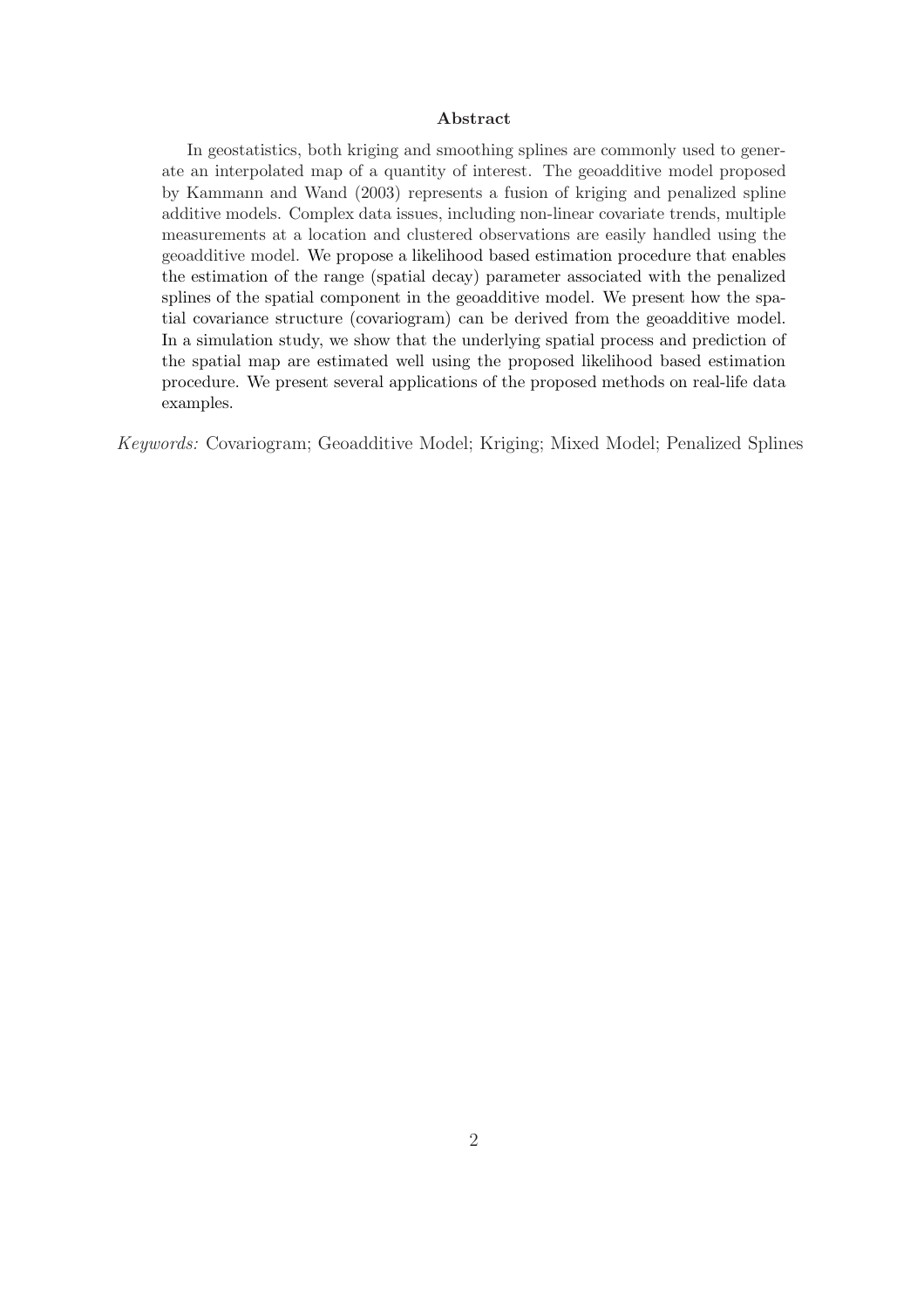#### Abstract

In geostatistics, both kriging and smoothing splines are commonly used to generate an interpolated map of a quantity of interest. The geoadditive model proposed by Kammann and Wand (2003) represents a fusion of kriging and penalized spline additive models. Complex data issues, including non-linear covariate trends, multiple measurements at a location and clustered observations are easily handled using the geoadditive model. We propose a likelihood based estimation procedure that enables the estimation of the range (spatial decay) parameter associated with the penalized splines of the spatial component in the geoadditive model. We present how the spatial covariance structure (covariogram) can be derived from the geoadditive model. In a simulation study, we show that the underlying spatial process and prediction of the spatial map are estimated well using the proposed likelihood based estimation procedure. We present several applications of the proposed methods on real-life data examples.

*Keywords:* Covariogram; Geoadditive Model; Kriging; Mixed Model; Penalized Splines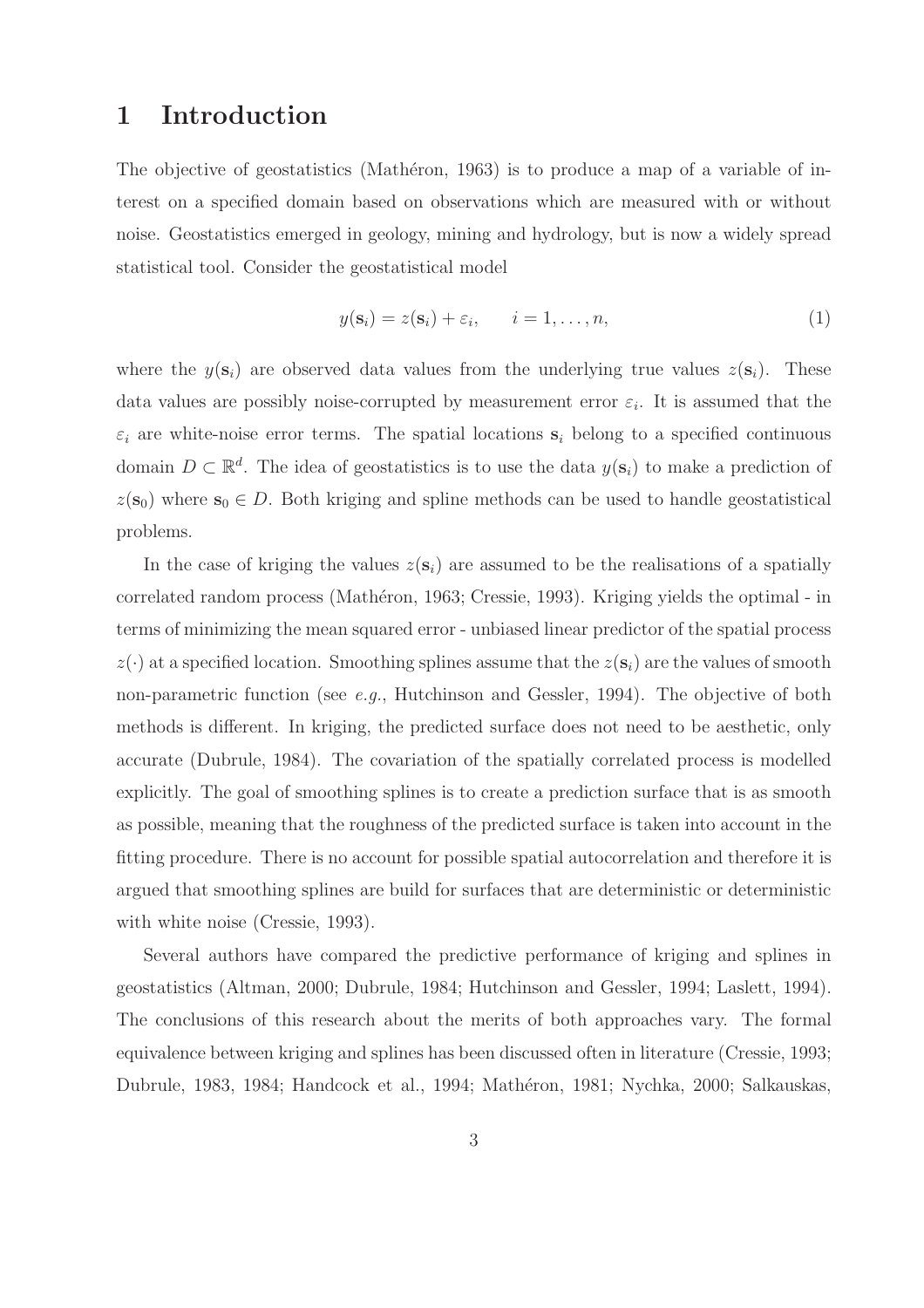### 1 Introduction

The objective of geostatistics (Mathéron, 1963) is to produce a map of a variable of interest on a specified domain based on observations which are measured with or without noise. Geostatistics emerged in geology, mining and hydrology, but is now a widely spread statistical tool. Consider the geostatistical model

$$
y(\mathbf{s}_i) = z(\mathbf{s}_i) + \varepsilon_i, \qquad i = 1, \dots, n,
$$
\n<sup>(1)</sup>

where the  $y(\mathbf{s}_i)$  are observed data values from the underlying true values  $z(\mathbf{s}_i)$ . These data values are possibly noise-corrupted by measurement error  $\varepsilon_i$ . It is assumed that the  $\varepsilon_i$  are white-noise error terms. The spatial locations  $s_i$  belong to a specified continuous domain  $D \subset \mathbb{R}^d$ . The idea of geostatistics is to use the data  $y(\mathbf{s}_i)$  to make a prediction of  $z(\mathbf{s}_0)$  where  $\mathbf{s}_0 \in D$ . Both kriging and spline methods can be used to handle geostatistical problems.

In the case of kriging the values  $z(s_i)$  are assumed to be the realisations of a spatially correlated random process (Mathéron, 1963; Cressie, 1993). Kriging yields the optimal - in terms of minimizing the mean squared error - unbiased linear predictor of the spatial process  $z(\cdot)$  at a specified location. Smoothing splines assume that the  $z(\mathbf{s}_i)$  are the values of smooth non-parametric function (see *e.g.*, Hutchinson and Gessler, 1994). The objective of both methods is different. In kriging, the predicted surface does not need to be aesthetic, only accurate (Dubrule, 1984). The covariation of the spatially correlated process is modelled explicitly. The goal of smoothing splines is to create a prediction surface that is as smooth as possible, meaning that the roughness of the predicted surface is taken into account in the fitting procedure. There is no account for possible spatial autocorrelation and therefore it is argued that smoothing splines are build for surfaces that are deterministic or deterministic with white noise (Cressie, 1993).

Several authors have compared the predictive performance of kriging and splines in geostatistics (Altman, 2000; Dubrule, 1984; Hutchinson and Gessler, 1994; Laslett, 1994). The conclusions of this research about the merits of both approaches vary. The formal equivalence between kriging and splines has been discussed often in literature (Cressie, 1993; Dubrule, 1983, 1984; Handcock et al., 1994; Mathéron, 1981; Nychka, 2000; Salkauskas,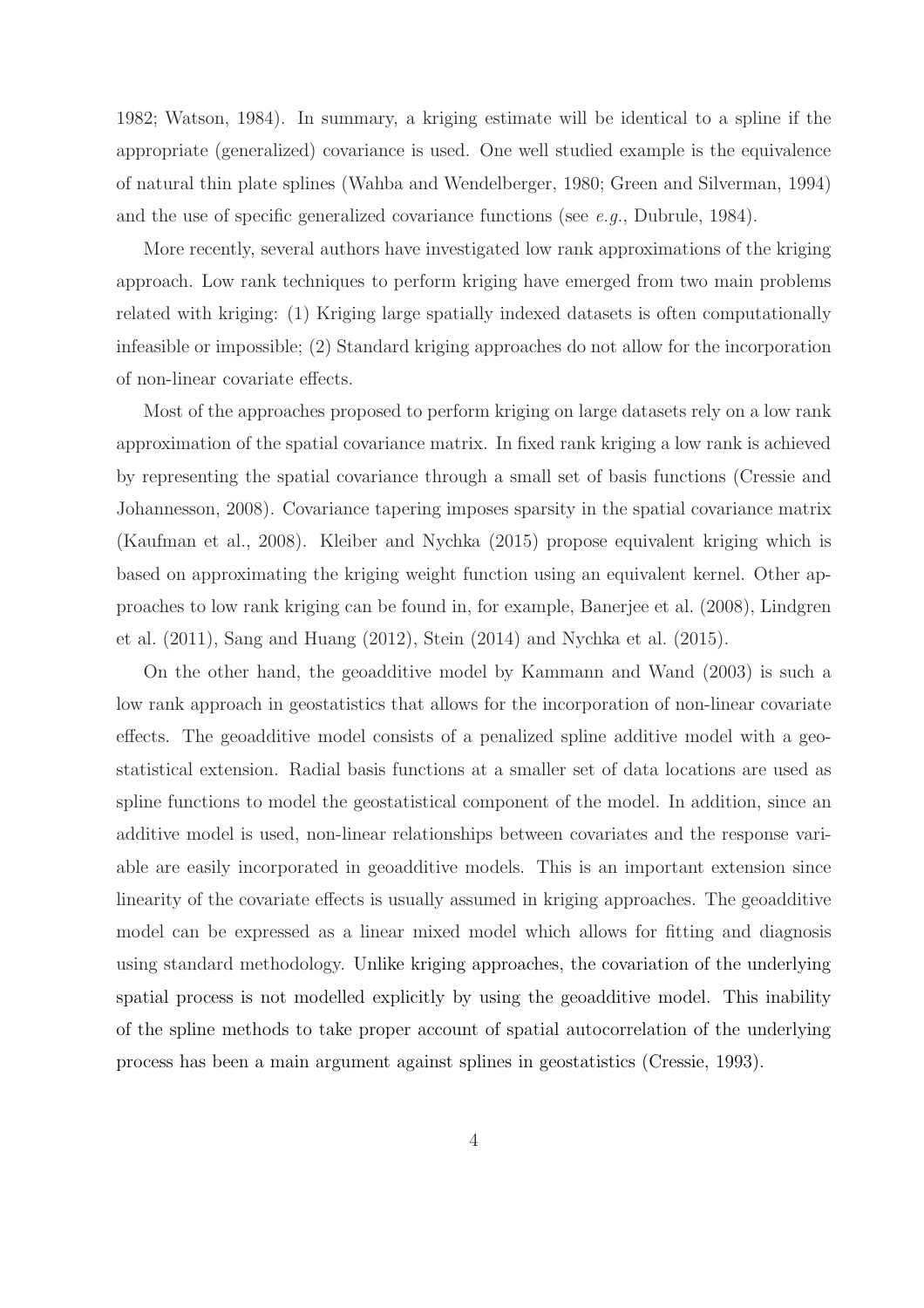1982; Watson, 1984). In summary, a kriging estimate will be identical to a spline if the appropriate (generalized) covariance is used. One well studied example is the equivalence of natural thin plate splines (Wahba and Wendelberger, 1980; Green and Silverman, 1994) and the use of specific generalized covariance functions (see *e.g.*, Dubrule, 1984).

More recently, several authors have investigated low rank approximations of the kriging approach. Low rank techniques to perform kriging have emerged from two main problems related with kriging: (1) Kriging large spatially indexed datasets is often computationally infeasible or impossible; (2) Standard kriging approaches do not allow for the incorporation of non-linear covariate effects.

Most of the approaches proposed to perform kriging on large datasets rely on a low rank approximation of the spatial covariance matrix. In fixed rank kriging a low rank is achieved by representing the spatial covariance through a small set of basis functions (Cressie and Johannesson, 2008). Covariance tapering imposes sparsity in the spatial covariance matrix (Kaufman et al., 2008). Kleiber and Nychka (2015) propose equivalent kriging which is based on approximating the kriging weight function using an equivalent kernel. Other approaches to low rank kriging can be found in, for example, Banerjee et al. (2008), Lindgren et al. (2011), Sang and Huang (2012), Stein (2014) and Nychka et al. (2015).

On the other hand, the geoadditive model by Kammann and Wand (2003) is such a low rank approach in geostatistics that allows for the incorporation of non-linear covariate effects. The geoadditive model consists of a penalized spline additive model with a geostatistical extension. Radial basis functions at a smaller set of data locations are used as spline functions to model the geostatistical component of the model. In addition, since an additive model is used, non-linear relationships between covariates and the response variable are easily incorporated in geoadditive models. This is an important extension since linearity of the covariate effects is usually assumed in kriging approaches. The geoadditive model can be expressed as a linear mixed model which allows for fitting and diagnosis using standard methodology. Unlike kriging approaches, the covariation of the underlying spatial process is not modelled explicitly by using the geoadditive model. This inability of the spline methods to take proper account of spatial autocorrelation of the underlying process has been a main argument against splines in geostatistics (Cressie, 1993).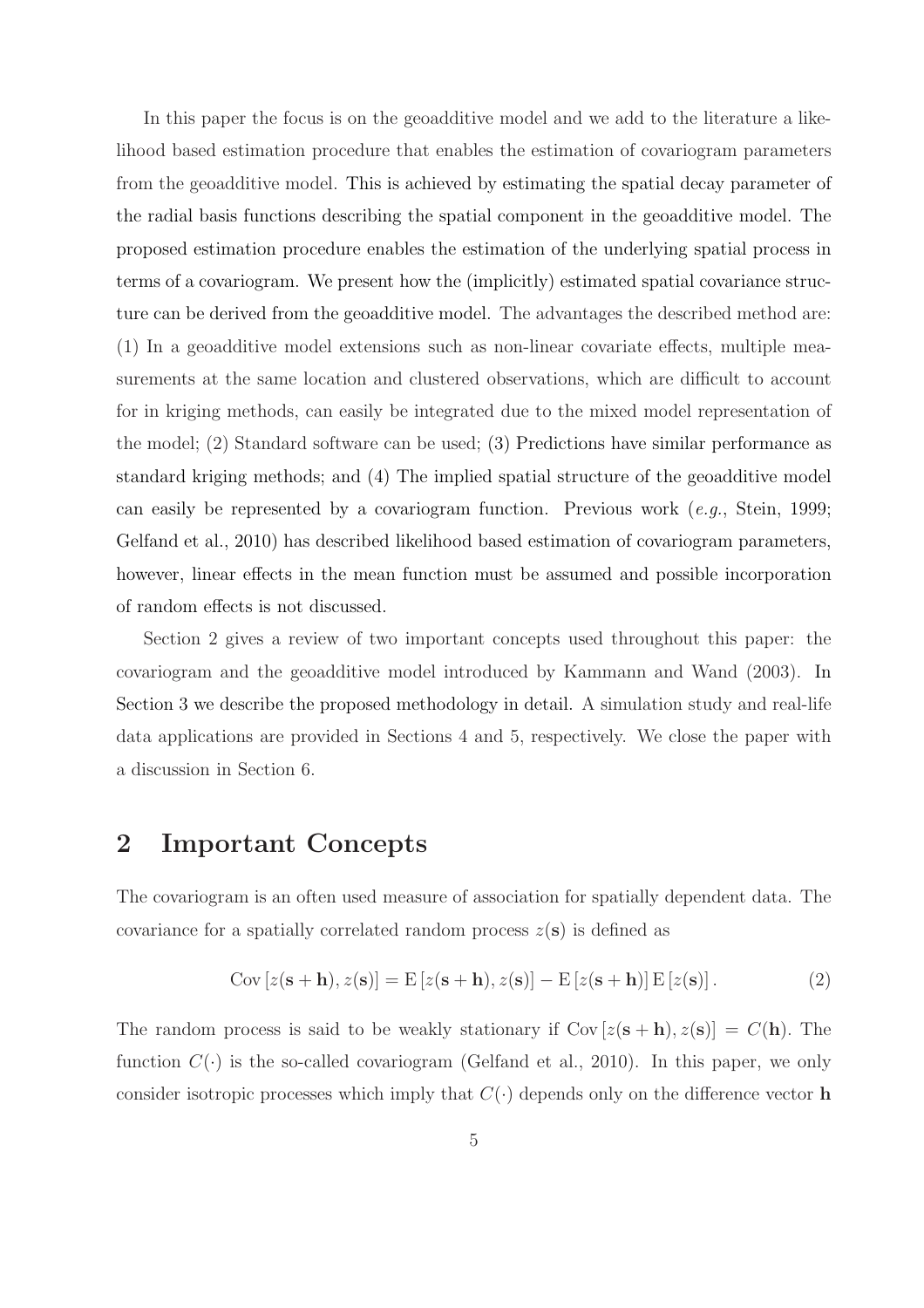In this paper the focus is on the geoadditive model and we add to the literature a likelihood based estimation procedure that enables the estimation of covariogram parameters from the geoadditive model. This is achieved by estimating the spatial decay parameter of the radial basis functions describing the spatial component in the geoadditive model. The proposed estimation procedure enables the estimation of the underlying spatial process in terms of a covariogram. We present how the (implicitly) estimated spatial covariance structure can be derived from the geoadditive model. The advantages the described method are: (1) In a geoadditive model extensions such as non-linear covariate effects, multiple measurements at the same location and clustered observations, which are difficult to account for in kriging methods, can easily be integrated due to the mixed model representation of the model; (2) Standard software can be used; (3) Predictions have similar performance as standard kriging methods; and (4) The implied spatial structure of the geoadditive model can easily be represented by a covariogram function. Previous work (*e.g.*, Stein, 1999; Gelfand et al., 2010) has described likelihood based estimation of covariogram parameters, however, linear effects in the mean function must be assumed and possible incorporation of random effects is not discussed.

Section 2 gives a review of two important concepts used throughout this paper: the covariogram and the geoadditive model introduced by Kammann and Wand (2003). In Section 3 we describe the proposed methodology in detail. A simulation study and real-life data applications are provided in Sections 4 and 5, respectively. We close the paper with a discussion in Section 6.

### 2 Important Concepts

The covariogram is an often used measure of association for spatially dependent data. The covariance for a spatially correlated random process  $z(s)$  is defined as

$$
Cov [z(\mathbf{s} + \mathbf{h}), z(\mathbf{s})] = E [z(\mathbf{s} + \mathbf{h}), z(\mathbf{s})] - E [z(\mathbf{s} + \mathbf{h})] E [z(\mathbf{s})].
$$
\n(2)

The random process is said to be weakly stationary if  $Cov [z(s+h), z(s)] = C(h)$ . The function  $C(\cdot)$  is the so-called covariogram (Gelfand et al., 2010). In this paper, we only consider isotropic processes which imply that  $C(\cdot)$  depends only on the difference vector h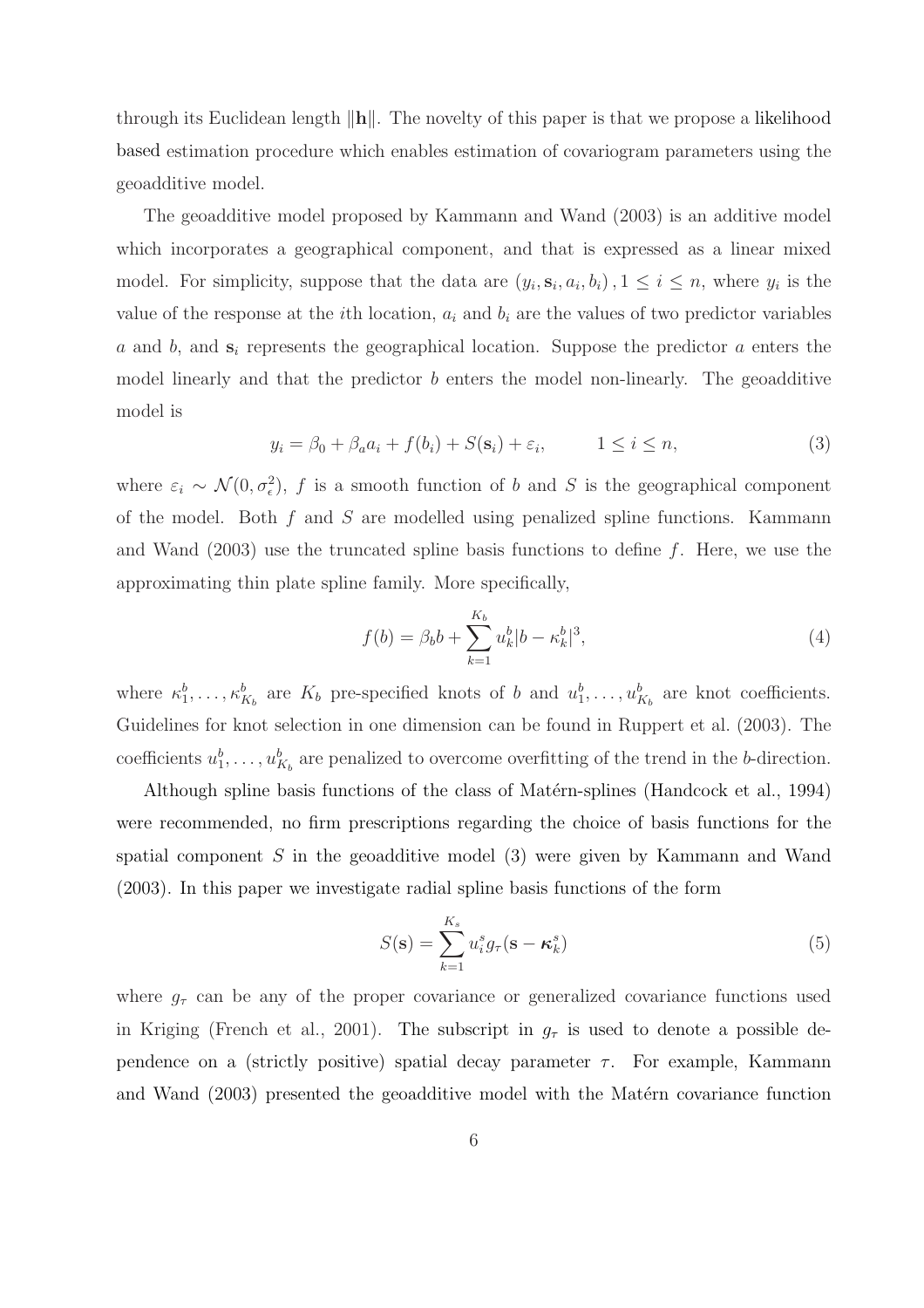through its Euclidean length  $\|\mathbf{h}\|$ . The novelty of this paper is that we propose a likelihood based estimation procedure which enables estimation of covariogram parameters using the geoadditive model.

The geoadditive model proposed by Kammann and Wand (2003) is an additive model which incorporates a geographical component, and that is expressed as a linear mixed model. For simplicity, suppose that the data are  $(y_i, \mathbf{s}_i, a_i, b_i)$ ,  $1 \leq i \leq n$ , where  $y_i$  is the value of the response at the *i*th location,  $a_i$  and  $b_i$  are the values of two predictor variables a and b, and  $s_i$  represents the geographical location. Suppose the predictor a enters the model linearly and that the predictor  $b$  enters the model non-linearly. The geoadditive model is

$$
y_i = \beta_0 + \beta_a a_i + f(b_i) + S(\mathbf{s}_i) + \varepsilon_i, \qquad 1 \le i \le n,
$$
\n(3)

where  $\varepsilon_i \sim \mathcal{N}(0, \sigma_{\epsilon}^2)$ , f is a smooth function of b and S is the geographical component of the model. Both  $f$  and  $S$  are modelled using penalized spline functions. Kammann and Wand (2003) use the truncated spline basis functions to define f. Here, we use the approximating thin plate spline family. More specifically,

$$
f(b) = \beta_b b + \sum_{k=1}^{K_b} u_k^b |b - \kappa_k^b|^3,
$$
\n(4)

where  $\kappa_1^b, \ldots, \kappa_{K_b}^b$  are  $K_b$  pre-specified knots of b and  $u_1^b, \ldots, u_{K_b}^b$  are knot coefficients. Guidelines for knot selection in one dimension can be found in Ruppert et al. (2003). The coefficients  $u_1^b, \ldots, u_{K_b}^b$  are penalized to overcome overfitting of the trend in the b-direction.

Although spline basis functions of the class of Matérn-splines (Handcock et al., 1994) were recommended, no firm prescriptions regarding the choice of basis functions for the spatial component  $S$  in the geoadditive model  $(3)$  were given by Kammann and Wand (2003). In this paper we investigate radial spline basis functions of the form

$$
S(\mathbf{s}) = \sum_{k=1}^{K_s} u_i^s g_\tau(\mathbf{s} - \boldsymbol{\kappa}_k^s)
$$
 (5)

where  $g_{\tau}$  can be any of the proper covariance or generalized covariance functions used in Kriging (French et al., 2001). The subscript in  $g<sub>\tau</sub>$  is used to denote a possible dependence on a (strictly positive) spatial decay parameter  $\tau$ . For example, Kammann and Wand (2003) presented the geoadditive model with the Matérn covariance function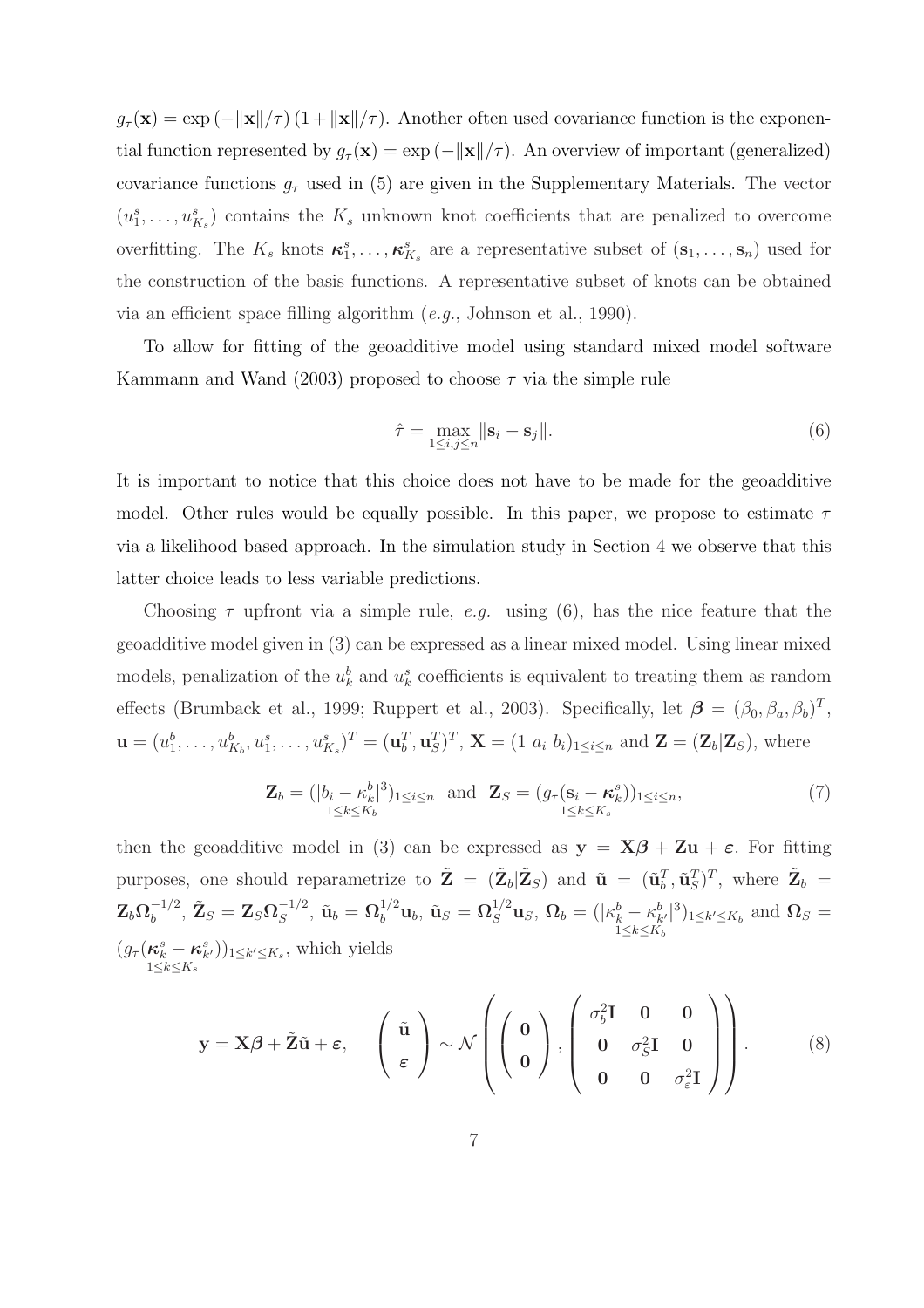$g_{\tau}(\mathbf{x}) = \exp(-\|\mathbf{x}\|/\tau) (1 + \|\mathbf{x}\|/\tau)$ . Another often used covariance function is the exponential function represented by  $g_{\tau}(\mathbf{x}) = \exp(-\|\mathbf{x}\|/\tau)$ . An overview of important (generalized) covariance functions  $g_{\tau}$  used in (5) are given in the Supplementary Materials. The vector  $(u_1^s, \ldots, u_{K_s}^s)$  contains the  $K_s$  unknown knot coefficients that are penalized to overcome overfitting. The  $K_s$  knots  $\kappa_1^s, \ldots, \kappa_{K_s}^s$  are a representative subset of  $(\mathbf{s}_1, \ldots, \mathbf{s}_n)$  used for the construction of the basis functions. A representative subset of knots can be obtained via an efficient space filling algorithm (*e.g.*, Johnson et al., 1990).

To allow for fitting of the geoadditive model using standard mixed model software Kammann and Wand (2003) proposed to choose  $\tau$  via the simple rule

$$
\hat{\tau} = \max_{1 \le i,j \le n} \|\mathbf{s}_i - \mathbf{s}_j\|.\tag{6}
$$

It is important to notice that this choice does not have to be made for the geoadditive model. Other rules would be equally possible. In this paper, we propose to estimate  $\tau$ via a likelihood based approach. In the simulation study in Section 4 we observe that this latter choice leads to less variable predictions.

Choosing  $\tau$  upfront via a simple rule, *e.g.* using (6), has the nice feature that the geoadditive model given in (3) can be expressed as a linear mixed model. Using linear mixed models, penalization of the  $u_k^b$  and  $u_k^s$  coefficients is equivalent to treating them as random effects (Brumback et al., 1999; Ruppert et al., 2003). Specifically, let  $\boldsymbol{\beta} = (\beta_0, \beta_a, \beta_b)^T$ ,  $\mathbf{u} = (u_1^b, \dots, u_{K_b}^b, u_1^s, \dots, u_{K_s}^s)^T = (\mathbf{u}_b^T, \mathbf{u}_s^T)^T$ ,  $\mathbf{X} = (1 \ a_i \ b_i)_{1 \le i \le n}$  and  $\mathbf{Z} = (\mathbf{Z}_b | \mathbf{Z}_S)$ , where

$$
\mathbf{Z}_b = (|b_i - \kappa_k^b|^3)_{1 \le i \le n} \text{ and } \mathbf{Z}_s = (g_\tau (\mathbf{s}_i - \kappa_k^s))_{1 \le i \le n},
$$
  

$$
{}^{1 \le k \le K_b} (7)
$$

then the geoadditive model in (3) can be expressed as  $y = X\beta + Zu + \epsilon$ . For fitting purposes, one should reparametrize to  $\tilde{\mathbf{Z}} = (\tilde{\mathbf{Z}}_b | \tilde{\mathbf{Z}}_S)$  and  $\tilde{\mathbf{u}} = (\tilde{\mathbf{u}}_b^T, \tilde{\mathbf{u}}_s^T)^T$ , where  $\tilde{\mathbf{Z}}_b =$  $\mathbf{Z}_b \mathbf{\Omega}_b^{-1/2}$  $\tilde{\mathbf{Z}}_b^{-1/2},\ \tilde{\mathbf{Z}}_S = \mathbf{Z}_S \mathbf{\Omega}_S^{-1/2}$  $\hat{\bm{\Omega}}_S^{-1/2}, \ \tilde{\mathbf{u}}_b = \bm{\Omega}_b^{1/2} \mathbf{u}_b, \ \tilde{\mathbf{u}}_S = \bm{\Omega}_S^{1/2} \mathbf{u}_S, \ \bm{\Omega}_b = (|\kappa_k^b - \kappa_{k'}^b|^3)$  $1\leq k\leq K_b$  $)_{1\leq k'\leq K_b}$  and  $\Omega_S=$  $(g_{\tau}(\boldsymbol{\kappa}^s_{k} - \boldsymbol{\kappa}^s_{k'})$  $1\leq k\leq K_s$  $)_{1\leq k'\leq K_s}$ , which yields

$$
\mathbf{y} = \mathbf{X}\boldsymbol{\beta} + \tilde{\mathbf{Z}}\tilde{\mathbf{u}} + \boldsymbol{\varepsilon}, \quad \begin{pmatrix} \tilde{\mathbf{u}} \\ \varepsilon \end{pmatrix} \sim \mathcal{N} \left( \begin{pmatrix} 0 \\ 0 \end{pmatrix}, \begin{pmatrix} \sigma_b^2 \mathbf{I} & 0 & 0 \\ 0 & \sigma_S^2 \mathbf{I} & 0 \\ 0 & 0 & \sigma_\varepsilon^2 \mathbf{I} \end{pmatrix} \right). \tag{8}
$$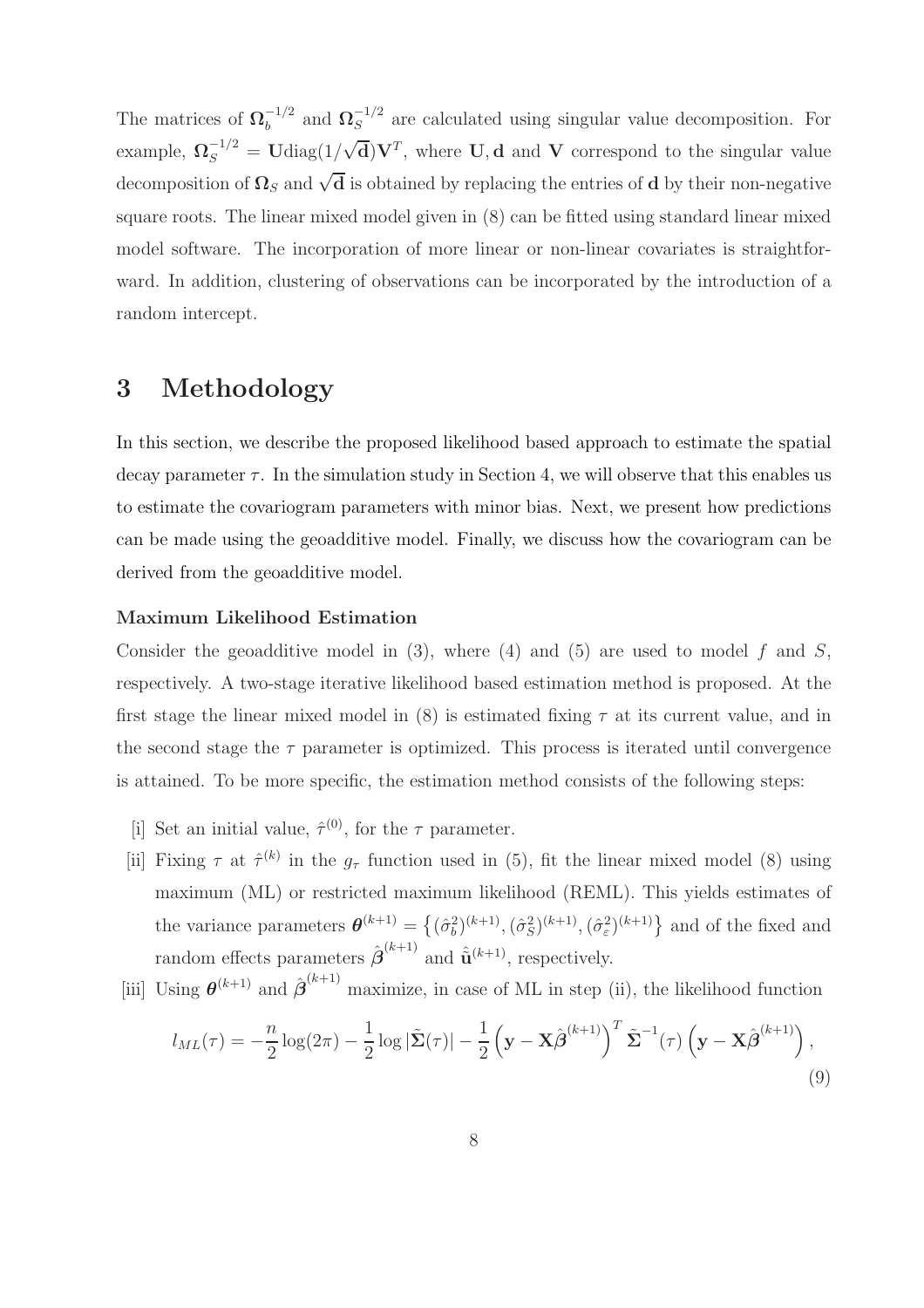The matrices of  $\Omega_b^{-1/2}$  $_{b}^{-1/2}$  and  $\Omega_{S}^{-1/2}$  $S<sup>-1/2</sup>$  are calculated using singular value decomposition. For example,  $\Omega_S^{-1/2} = \text{Udiag}(1/\sqrt{d})V^T$ , where U, d and V correspond to the singular value decomposition of  $\Omega_S$  and  $\sqrt{d}$  is obtained by replacing the entries of **d** by their non-negative square roots. The linear mixed model given in (8) can be fitted using standard linear mixed model software. The incorporation of more linear or non-linear covariates is straightforward. In addition, clustering of observations can be incorporated by the introduction of a random intercept.

### 3 Methodology

In this section, we describe the proposed likelihood based approach to estimate the spatial decay parameter  $\tau$ . In the simulation study in Section 4, we will observe that this enables us to estimate the covariogram parameters with minor bias. Next, we present how predictions can be made using the geoadditive model. Finally, we discuss how the covariogram can be derived from the geoadditive model.

#### Maximum Likelihood Estimation

Consider the geoadditive model in  $(3)$ , where  $(4)$  and  $(5)$  are used to model f and S, respectively. A two-stage iterative likelihood based estimation method is proposed. At the first stage the linear mixed model in  $(8)$  is estimated fixing  $\tau$  at its current value, and in the second stage the  $\tau$  parameter is optimized. This process is iterated until convergence is attained. To be more specific, the estimation method consists of the following steps:

- [i] Set an initial value,  $\hat{\tau}^{(0)}$ , for the  $\tau$  parameter.
- [ii] Fixing  $\tau$  at  $\hat{\tau}^{(k)}$  in the  $g_{\tau}$  function used in (5), fit the linear mixed model (8) using maximum (ML) or restricted maximum likelihood (REML). This yields estimates of the variance parameters  $\boldsymbol{\theta}^{(k+1)} = \left\{ (\hat{\sigma}_b^2)^{(k+1)}, (\hat{\sigma}_s^2)^{(k+1)}, (\hat{\sigma}_\varepsilon^2)^{(k+1)} \right\}$  and of the fixed and random effects parameters  $\hat{\boldsymbol{\beta}}^{(k+1)}$  and  $\hat{\tilde{\mathbf{u}}}^{(k+1)}$ , respectively.
- [iii] Using  $\boldsymbol{\theta}^{(k+1)}$  and  $\hat{\boldsymbol{\beta}}^{(k+1)}$  maximize, in case of ML in step (ii), the likelihood function

$$
l_{ML}(\tau) = -\frac{n}{2}\log(2\pi) - \frac{1}{2}\log|\tilde{\Sigma}(\tau)| - \frac{1}{2}\left(\mathbf{y} - \mathbf{X}\hat{\boldsymbol{\beta}}^{(k+1)}\right)^T\tilde{\Sigma}^{-1}(\tau)\left(\mathbf{y} - \mathbf{X}\hat{\boldsymbol{\beta}}^{(k+1)}\right),\tag{9}
$$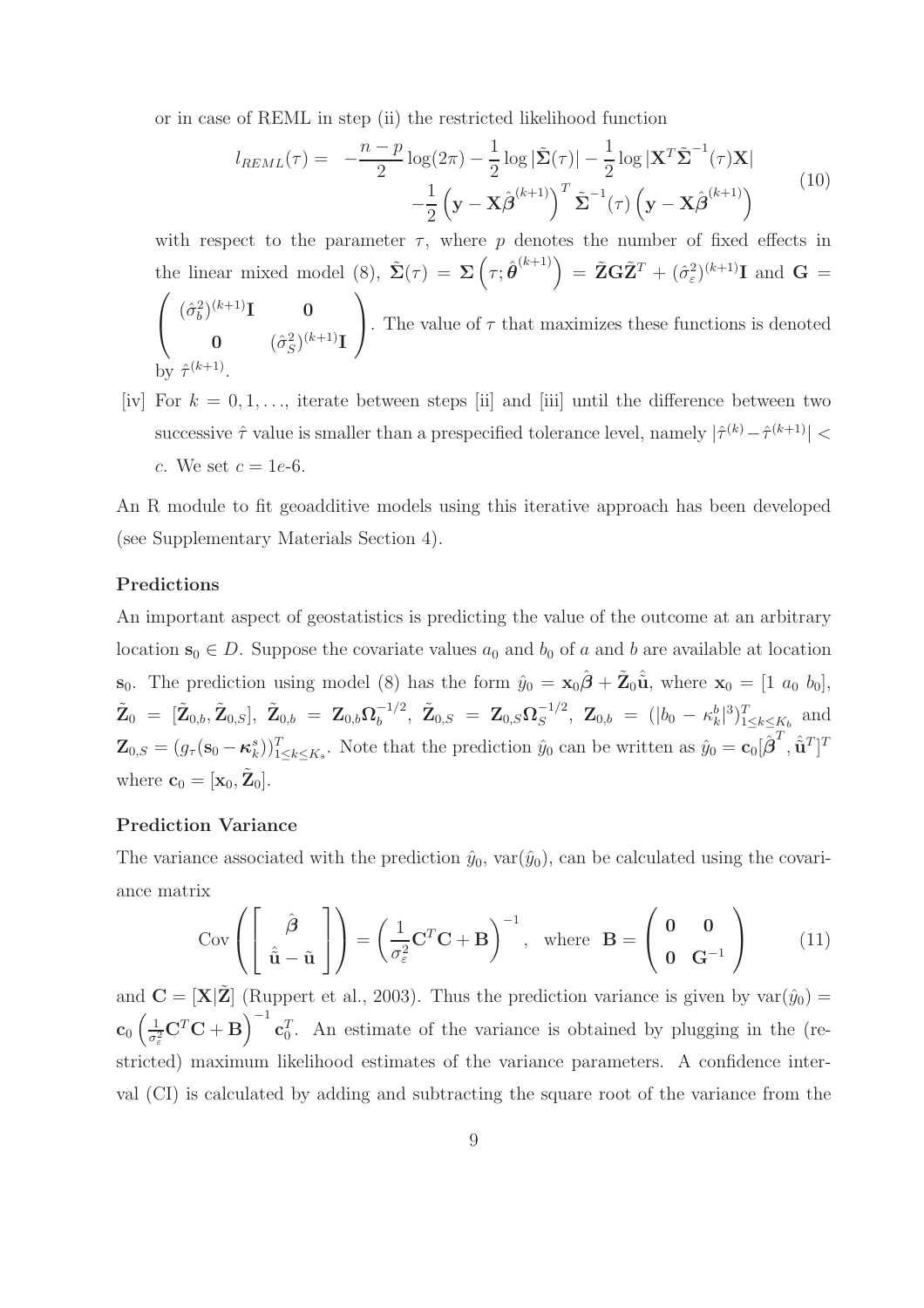or in case of REML in step (ii) the restricted likelihood function

$$
l_{REML}(\tau) = -\frac{n-p}{2}\log(2\pi) - \frac{1}{2}\log|\tilde{\Sigma}(\tau)| - \frac{1}{2}\log|\mathbf{X}^T\tilde{\Sigma}^{-1}(\tau)\mathbf{X}|
$$
  

$$
-\frac{1}{2}\left(\mathbf{y} - \mathbf{X}\hat{\boldsymbol{\beta}}^{(k+1)}\right)^T\tilde{\Sigma}^{-1}(\tau)\left(\mathbf{y} - \mathbf{X}\hat{\boldsymbol{\beta}}^{(k+1)}\right)
$$
(10)

with respect to the parameter  $\tau$ , where p denotes the number of fixed effects in the linear mixed model (8),  $\tilde{\Sigma}(\tau) = \Sigma\left(\tau; \hat{\boldsymbol{\theta}}^{(k+1)}\right) = \tilde{\mathbf{Z}}\mathbf{G}\tilde{\mathbf{Z}}^T + (\hat{\sigma}_{\varepsilon}^2)^{(k+1)}\mathbf{I}$  and  $\mathbf{G} =$  $\sqrt{ }$  $\overline{1}$  $(\hat{\sigma}_b^2)^{(k+1)}$ **I** 0 **0**  $(\hat{\sigma}_S^2)^{(k+1)}$ **I**  $\setminus$ . The value of  $\tau$  that maximizes these functions is denoted by  $\hat{\tau}$  $(k+1)$ .

[iv] For  $k = 0, 1, \ldots$ , iterate between steps [ii] and [iii] until the difference between two successive  $\hat{\tau}$  value is smaller than a prespecified tolerance level, namely  $|\hat{\tau}^{(k)} - \hat{\tau}^{(k+1)}|$  < c. We set  $c = 1e-6$ .

An R module to fit geoadditive models using this iterative approach has been developed (see Supplementary Materials Section 4).

### Predictions

An important aspect of geostatistics is predicting the value of the outcome at an arbitrary location  $s_0 \in D$ . Suppose the covariate values  $a_0$  and  $b_0$  of a and b are available at location  $\mathbf{s}_0$ . The prediction using model (8) has the form  $\hat{y}_0 = \mathbf{x}_0 \hat{\boldsymbol{\beta}} + \tilde{\mathbf{Z}}_0 \hat{\mathbf{u}}$ , where  $\mathbf{x}_0 = \begin{bmatrix} 1 & a_0 & b_0 \end{bmatrix}$  $\tilde{\mathbf{Z}}_0 \;=\; [\tilde{\mathbf{Z}}_{0,b}, \tilde{\mathbf{Z}}_{0,S}], \; \tilde{\mathbf{Z}}_{0,b} \;=\; \mathbf{Z}_{0,b} \boldsymbol{\Omega}_b^{-1/2}$  $\tilde{\mathbf{Z}}_{0,S} \; = \; \mathbf{Z}_{0,S} \boldsymbol{\Omega}_S^{-1/2}$  $S^{-1/2}$ ,  $\mathbf{Z}_{0,b} = (|b_0 - \kappa_k^b|^3)_{1 \leq k \leq K_b}^T$  and  $\mathbf{Z}_{0,S} = (g_\tau(\mathbf{s}_0 - \boldsymbol{\kappa}_k^s))^T_{1 \leq k \leq K_s}$ . Note that the prediction  $\hat{y}_0$  can be written as  $\hat{y}_0 = \mathbf{c}_0[\hat{\boldsymbol{\beta}}^T, \hat{\mathbf{u}}^T]^T$ where  $\mathbf{c}_0 = [\mathbf{x}_0, \tilde{\mathbf{Z}}_0].$ 

### Prediction Variance

The variance associated with the prediction  $\hat{y}_0$ , var $(\hat{y}_0)$ , can be calculated using the covariance matrix

$$
Cov\left(\begin{bmatrix} \hat{\boldsymbol{\beta}} \\ \hat{\tilde{\mathbf{u}}} - \tilde{\mathbf{u}} \end{bmatrix}\right) = \left(\frac{1}{\sigma_{\varepsilon}^{2}} \mathbf{C}^{T} \mathbf{C} + \mathbf{B}\right)^{-1}, \text{ where } \mathbf{B} = \begin{pmatrix} \mathbf{0} & \mathbf{0} \\ \mathbf{0} & \mathbf{G}^{-1} \end{pmatrix}
$$
(11)

and  $\mathbf{C} = [\mathbf{X}|\mathbf{Z}]$  (Ruppert et al., 2003). Thus the prediction variance is given by var $(\hat{y}_0)$  =  $\mathbf{c}_0 \left( \frac{1}{\sigma_{\varepsilon}^2} \mathbf{C}^T \mathbf{C} + \mathbf{B} \right)^{-1} \mathbf{c}_0^T$ . An estimate of the variance is obtained by plugging in the (restricted) maximum likelihood estimates of the variance parameters. A confidence interval (CI) is calculated by adding and subtracting the square root of the variance from the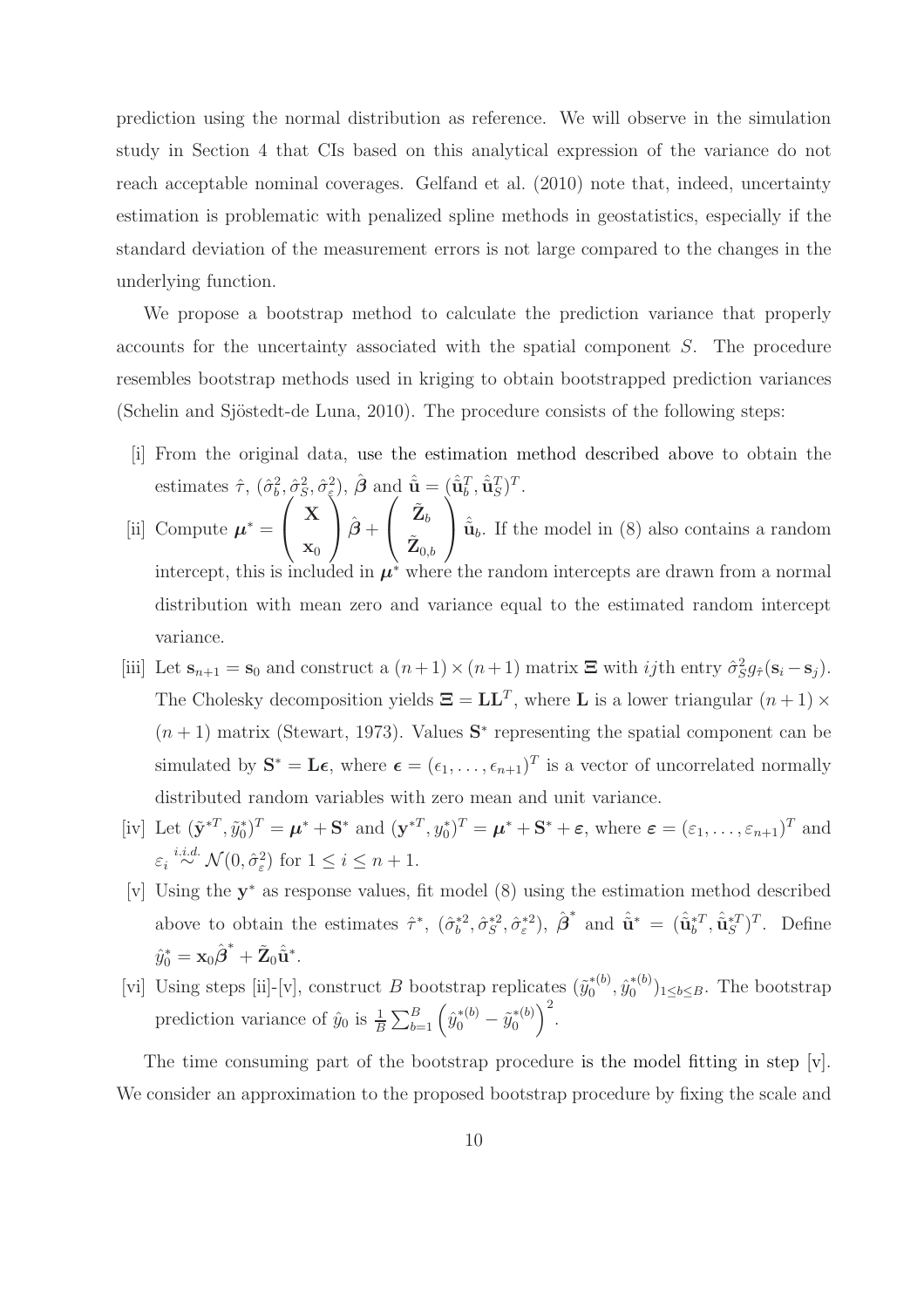prediction using the normal distribution as reference. We will observe in the simulation study in Section 4 that CIs based on this analytical expression of the variance do not reach acceptable nominal coverages. Gelfand et al. (2010) note that, indeed, uncertainty estimation is problematic with penalized spline methods in geostatistics, especially if the standard deviation of the measurement errors is not large compared to the changes in the underlying function.

We propose a bootstrap method to calculate the prediction variance that properly accounts for the uncertainty associated with the spatial component S. The procedure resembles bootstrap methods used in kriging to obtain bootstrapped prediction variances  $(Schelin and Sjöstedt-de Luna, 2010)$ . The procedure consists of the following steps:

- [i] From the original data, use the estimation method described above to obtain the estimates  $\hat{\tau}$ ,  $(\hat{\sigma}_b^2, \hat{\sigma}_s^2, \hat{\sigma}_{\xi}^2)$ ,  $\hat{\boldsymbol{\beta}}$  and  $\hat{\mathbf{u}} = (\hat{\mathbf{u}}_b^T, \hat{\mathbf{u}}_s^T)^T$ .
- [ii] Compute  $\mu^* =$  $\sqrt{ }$  $\overline{1}$ X  $\mathbf{x}_0$  $\setminus$  $\int \hat{\boldsymbol{\beta}} +$  $\sqrt{ }$  $\overline{1}$  $\tilde{\mathbf{Z}}_b$  $\tilde{\mathbf{Z}}_{0,b}$  $\setminus$  $\hat{\mathbf{u}}_b$ . If the model in (8) also contains a random intercept, this is included in  $\mu^*$  where the random intercepts are drawn from a normal distribution with mean zero and variance equal to the estimated random intercept variance.
- [iii] Let  $\mathbf{s}_{n+1} = \mathbf{s}_0$  and construct a  $(n+1) \times (n+1)$  matrix  $\mathbf{\Xi}$  with *ij*th entry  $\hat{\sigma}_S^2 g_{\hat{\tau}}(\mathbf{s}_i \mathbf{s}_j)$ . The Cholesky decomposition yields  $\mathbf{\Xi} = \mathbf{L}\mathbf{L}^T$ , where  $\mathbf{L}$  is a lower triangular  $(n+1) \times$  $(n+1)$  matrix (Stewart, 1973). Values  $S^*$  representing the spatial component can be simulated by  $S^* = L\epsilon$ , where  $\epsilon = (\epsilon_1, \ldots, \epsilon_{n+1})^T$  is a vector of uncorrelated normally distributed random variables with zero mean and unit variance.
- [iv] Let  $(\tilde{\mathbf{y}}^{*T}, \tilde{y}_0^*)^T = \boldsymbol{\mu}^* + \mathbf{S}^*$  and  $(\mathbf{y}^{*T}, y_0^*)^T = \boldsymbol{\mu}^* + \mathbf{S}^* + \boldsymbol{\varepsilon}$ , where  $\boldsymbol{\varepsilon} = (\varepsilon_1, \dots, \varepsilon_{n+1})^T$  and  $\varepsilon_i \stackrel{i.i.d.}{\sim} \mathcal{N}(0, \hat{\sigma}_\varepsilon^2)$  for  $1 \leq i \leq n+1$ .
- [v] Using the y <sup>∗</sup> as response values, fit model (8) using the estimation method described above to obtain the estimates  $\hat{\tau}^*, (\hat{\sigma}_b^{*2}, \hat{\sigma}_s^{*2}, \hat{\sigma}_\varepsilon^{*2}), \hat{\boldsymbol{\beta}}^*$  and  $\hat{\mathbf{u}}^* = (\hat{\mathbf{u}}_b^{*T}, \hat{\mathbf{u}}_S^{*T})^T$ . Define  $\hat{y}^*_0 = \mathbf{x}_0 \hat{\boldsymbol{\beta}}^* + \tilde{\mathbf{Z}}_0 \hat{\tilde{\mathbf{u}}}^*.$
- [vi] Using steps [ii]-[v], construct B bootstrap replicates  $(\tilde{y}_0^{*(b)})$  $\hat{y}_0^{*(b)}, \hat{y}_0^{*(b)}$  $\binom{*(0)}{0}$ <sub>1 $\leq b \leq B$ </sub>. The bootstrap prediction variance of  $\hat{y}_0$  is  $\frac{1}{B} \sum_{b=1}^B \left( \hat{y}_0^{*(b)} - \tilde{y}_0^{*(b)} \right)$  ${*(b) \choose 0}^2$ .

The time consuming part of the bootstrap procedure is the model fitting in step  $[v]$ . We consider an approximation to the proposed bootstrap procedure by fixing the scale and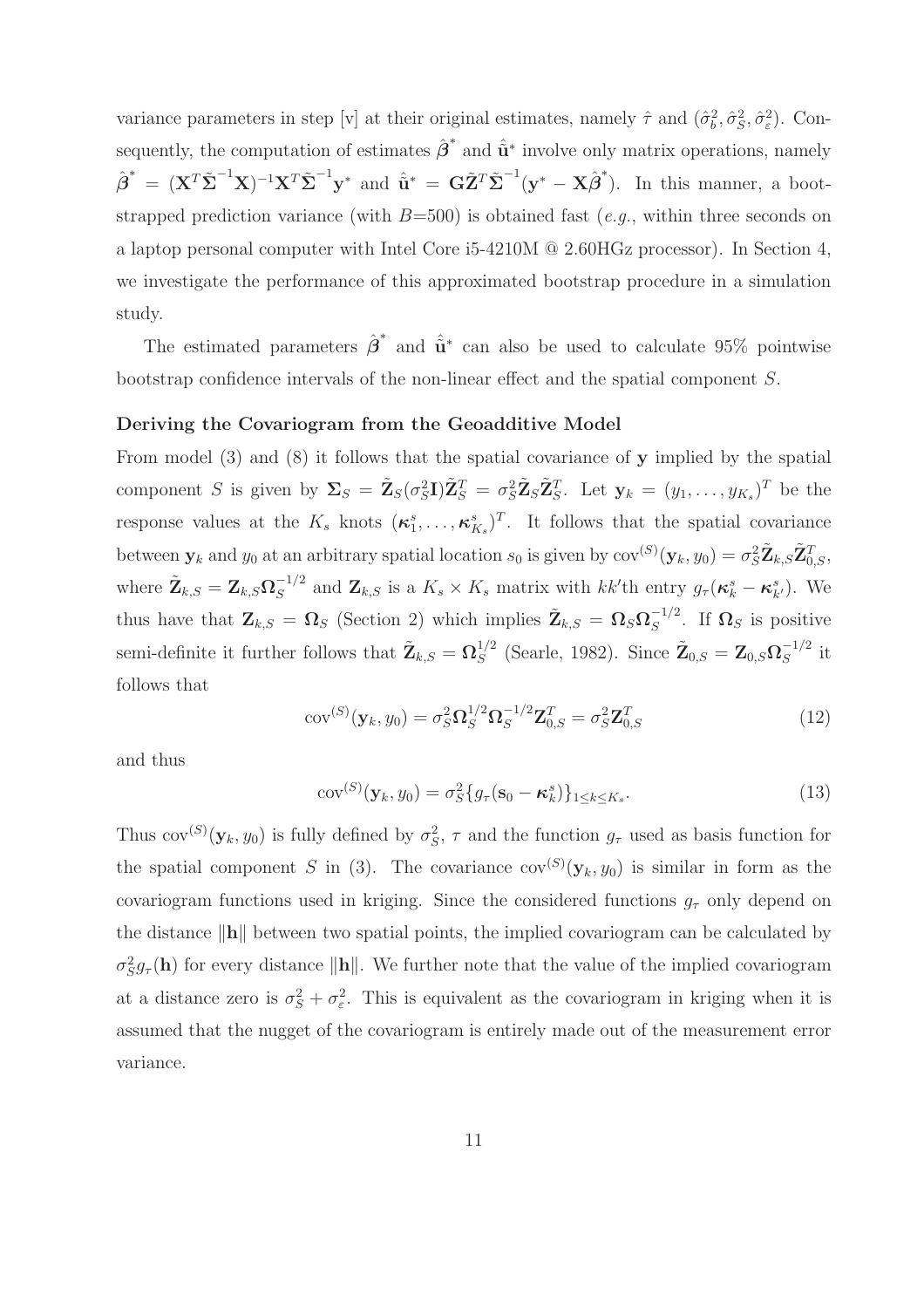variance parameters in step [v] at their original estimates, namely  $\hat{\tau}$  and  $(\hat{\sigma}_b^2, \hat{\sigma}_s^2, \hat{\sigma}_\varepsilon^2)$ . Consequently, the computation of estimates  $\hat{\boldsymbol{\beta}}^*$  and  $\hat{\tilde{\mathbf{u}}}^*$  involve only matrix operations, namely  $\hat{\boldsymbol{\beta}}^* = (\mathbf{X}^T \tilde{\boldsymbol{\Sigma}}^{-1} \mathbf{X})^{-1} \mathbf{X}^T \tilde{\boldsymbol{\Sigma}}^{-1} \mathbf{y}^*$  and  $\hat{\mathbf{u}}^* = \mathbf{G} \tilde{\mathbf{Z}}^T \tilde{\boldsymbol{\Sigma}}^{-1} (\mathbf{y}^* - \mathbf{X} \hat{\boldsymbol{\beta}}^*)$ . In this manner, a bootstrapped prediction variance (with  $B=500$ ) is obtained fast (*e.g.*, within three seconds on a laptop personal computer with Intel Core i5-4210M @ 2.60HGz processor). In Section 4, we investigate the performance of this approximated bootstrap procedure in a simulation study.

The estimated parameters  $\hat{\boldsymbol{\beta}}^*$  and  $\hat{\tilde{\mathbf{u}}}^*$  can also be used to calculate 95% pointwise bootstrap confidence intervals of the non-linear effect and the spatial component S.

#### Deriving the Covariogram from the Geoadditive Model

From model (3) and (8) it follows that the spatial covariance of y implied by the spatial component S is given by  $\Sigma_S = \tilde{\mathbf{Z}}_S(\sigma_S^2 \mathbf{I}) \tilde{\mathbf{Z}}_S^T = \sigma_S^2 \tilde{\mathbf{Z}}_S \tilde{\mathbf{Z}}_S^T$ . Let  $\mathbf{y}_k = (y_1, \ldots, y_{K_s})^T$  be the response values at the  $K_s$  knots  $(\kappa_1^s, \ldots, \kappa_{K_s}^s)^T$ . It follows that the spatial covariance between  $y_k$  and  $y_0$  at an arbitrary spatial location  $s_0$  is given by  $cov^{(S)}(y_k, y_0) = \sigma_S^2 \tilde{\mathbf{Z}}_{k,S} \tilde{\mathbf{Z}}_{0,S}^T$ , where  $\tilde{\mathbf{Z}}_{k,S} = \mathbf{Z}_{k,S} \mathbf{\Omega}_{S}^{-1/2}$  $S^{-1/2}$  and  $\mathbf{Z}_{k,S}$  is a  $K_s \times K_s$  matrix with  $kk'$ th entry  $g_\tau(\kappa_k^s - \kappa_{k'}^s)$ . We thus have that  $\mathbf{Z}_{k,S} = \mathbf{\Omega}_S$  (Section 2) which implies  $\tilde{\mathbf{Z}}_{k,S} = \mathbf{\Omega}_S \mathbf{\Omega}_S^{-1/2}$  $S^{\frac{-1}{2}}$ . If  $\Omega_S$  is positive semi-definite it further follows that  $\widetilde{\mathbf{Z}}_{k,S} = \mathbf{\Omega}^{1/2}_{S}$  $S^{1/2}$  (Searle, 1982). Since  $\tilde{\mathbf{Z}}_{0,S} = \mathbf{Z}_{0,S} \mathbf{\Omega}_{S}^{-1/2}$  $s^{-1/2}$  it follows that

$$
cov^{(S)}(\mathbf{y}_k, y_0) = \sigma_S^2 \Omega_S^{1/2} \Omega_S^{-1/2} \mathbf{Z}_{0,S}^T = \sigma_S^2 \mathbf{Z}_{0,S}^T
$$
(12)

and thus

$$
cov^{(S)}(\mathbf{y}_k, y_0) = \sigma_S^2 \{ g_\tau (\mathbf{s}_0 - \boldsymbol{\kappa}_k^s) \}_{1 \le k \le K_s}.
$$
\n(13)

Thus  $cov^{(S)}(\mathbf{y}_k, y_0)$  is fully defined by  $\sigma_S^2$ ,  $\tau$  and the function  $g_{\tau}$  used as basis function for the spatial component S in (3). The covariance  $cov^{(S)}(\mathbf{y}_k, y_0)$  is similar in form as the covariogram functions used in kriging. Since the considered functions  $g_{\tau}$  only depend on the distance  $\|\mathbf{h}\|$  between two spatial points, the implied covariogram can be calculated by  $\sigma_S^2 g_\tau(\mathbf{h})$  for every distance  $\|\mathbf{h}\|$ . We further note that the value of the implied covariogram at a distance zero is  $\sigma_S^2 + \sigma_{\varepsilon}^2$ . This is equivalent as the covariogram in kriging when it is assumed that the nugget of the covariogram is entirely made out of the measurement error variance.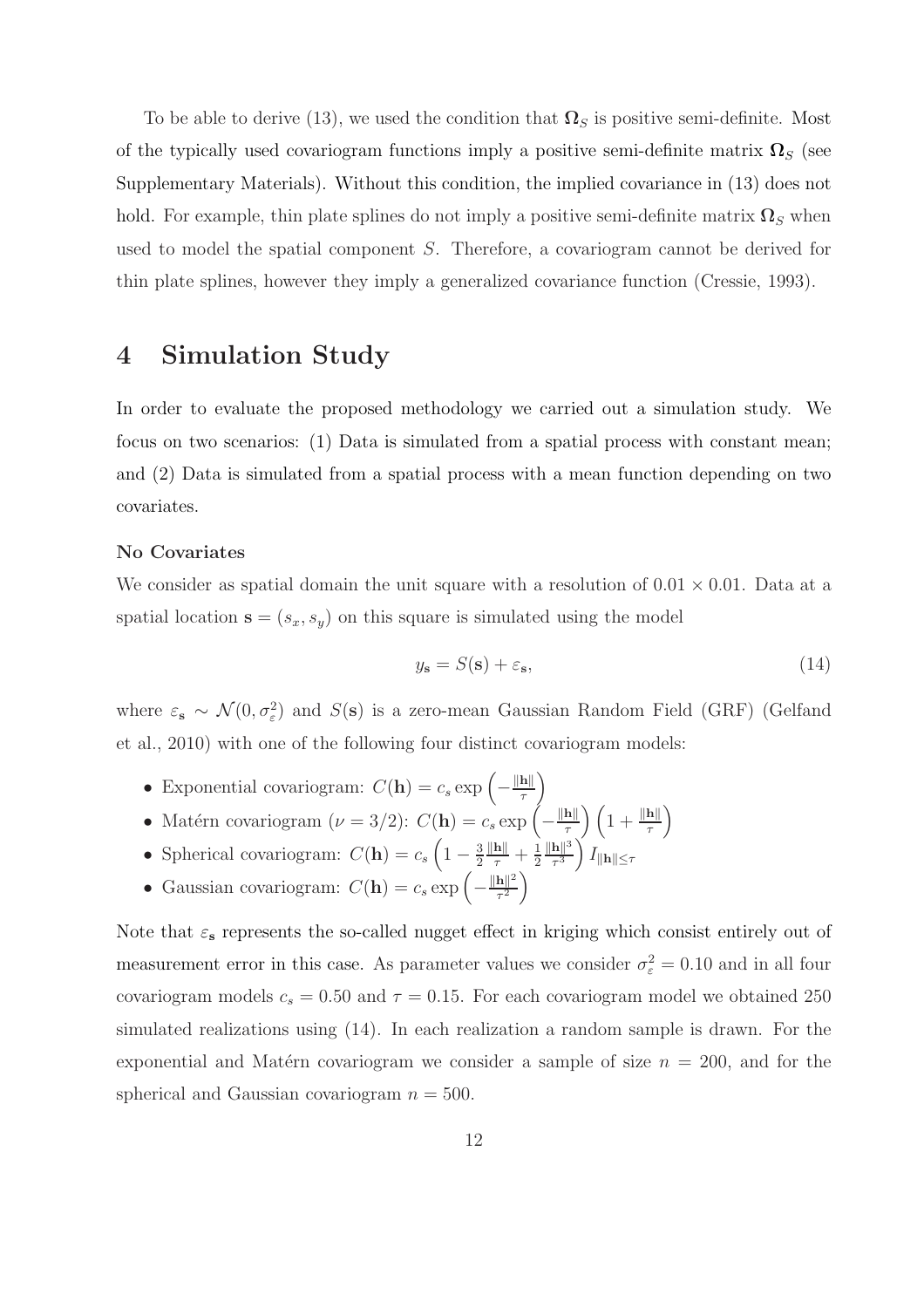To be able to derive (13), we used the condition that  $\Omega_S$  is positive semi-definite. Most of the typically used covariogram functions imply a positive semi-definite matrix  $\Omega<sub>S</sub>$  (see Supplementary Materials). Without this condition, the implied covariance in (13) does not hold. For example, thin plate splines do not imply a positive semi-definite matrix  $\Omega_S$  when used to model the spatial component S. Therefore, a covariogram cannot be derived for thin plate splines, however they imply a generalized covariance function (Cressie, 1993).

### 4 Simulation Study

In order to evaluate the proposed methodology we carried out a simulation study. We focus on two scenarios: (1) Data is simulated from a spatial process with constant mean; and (2) Data is simulated from a spatial process with a mean function depending on two covariates.

#### No Covariates

We consider as spatial domain the unit square with a resolution of  $0.01 \times 0.01$ . Data at a spatial location  $\mathbf{s} = (s_x, s_y)$  on this square is simulated using the model

$$
y_{\mathbf{s}} = S(\mathbf{s}) + \varepsilon_{\mathbf{s}},\tag{14}
$$

where  $\varepsilon_{s} \sim \mathcal{N}(0, \sigma_{\varepsilon}^{2})$  and  $S(s)$  is a zero-mean Gaussian Random Field (GRF) (Gelfand et al., 2010) with one of the following four distinct covariogram models:

- Exponential covariogram:  $C(\mathbf{h}) = c_s \exp(-\mathbf{h})$  $\|\mathbf{h}\|$  $\frac{\mathbf{h}\parallel}{\tau}\bigg)$
- Matérn covariogram  $(\nu = 3/2)$ :  $C(\mathbf{h}) = c_s \exp(-\mathbf{h})$  $\|\mathbf{h}\|$  $\frac{\mathbf{h}\parallel}{\tau}$   $\left(1+\frac{\|\mathbf{h}\|}{\tau}\right)$
- Spherical covariogram:  $C(\mathbf{h}) = c_s \left(1 \frac{3}{2}\right)$ 2  $\frac{\Vert \mathbf{h} \Vert}{\tau} + \frac{1}{2}$ 2  $\|\mathbf{h}\|^3$  $\frac{\mathbf{h}\|^3}{\tau^3}\bigg)\,I_{\|\mathbf{h}\|\leq \tau}$
- Gaussian covariogram:  $C(\mathbf{h}) = c_s \exp \left(-\frac{1}{2}\mathbf{h} \cdot \mathbf{h} \cdot \mathbf{h} \cdot \mathbf{h} \cdot \mathbf{h} \cdot \mathbf{h} \cdot \mathbf{h} \cdot \mathbf{h} \right)$  $\|\mathbf{h}\|^2$  $\frac{\mathbf{h}\|^{2}}{\tau^{2}}\bigg)$

Note that  $\varepsilon_{\mathbf{s}}$  represents the so-called nugget effect in kriging which consist entirely out of measurement error in this case. As parameter values we consider  $\sigma_{\varepsilon}^2 = 0.10$  and in all four covariogram models  $c_s = 0.50$  and  $\tau = 0.15$ . For each covariogram model we obtained 250 simulated realizations using (14). In each realization a random sample is drawn. For the exponential and Matérn covariogram we consider a sample of size  $n = 200$ , and for the spherical and Gaussian covariogram  $n = 500$ .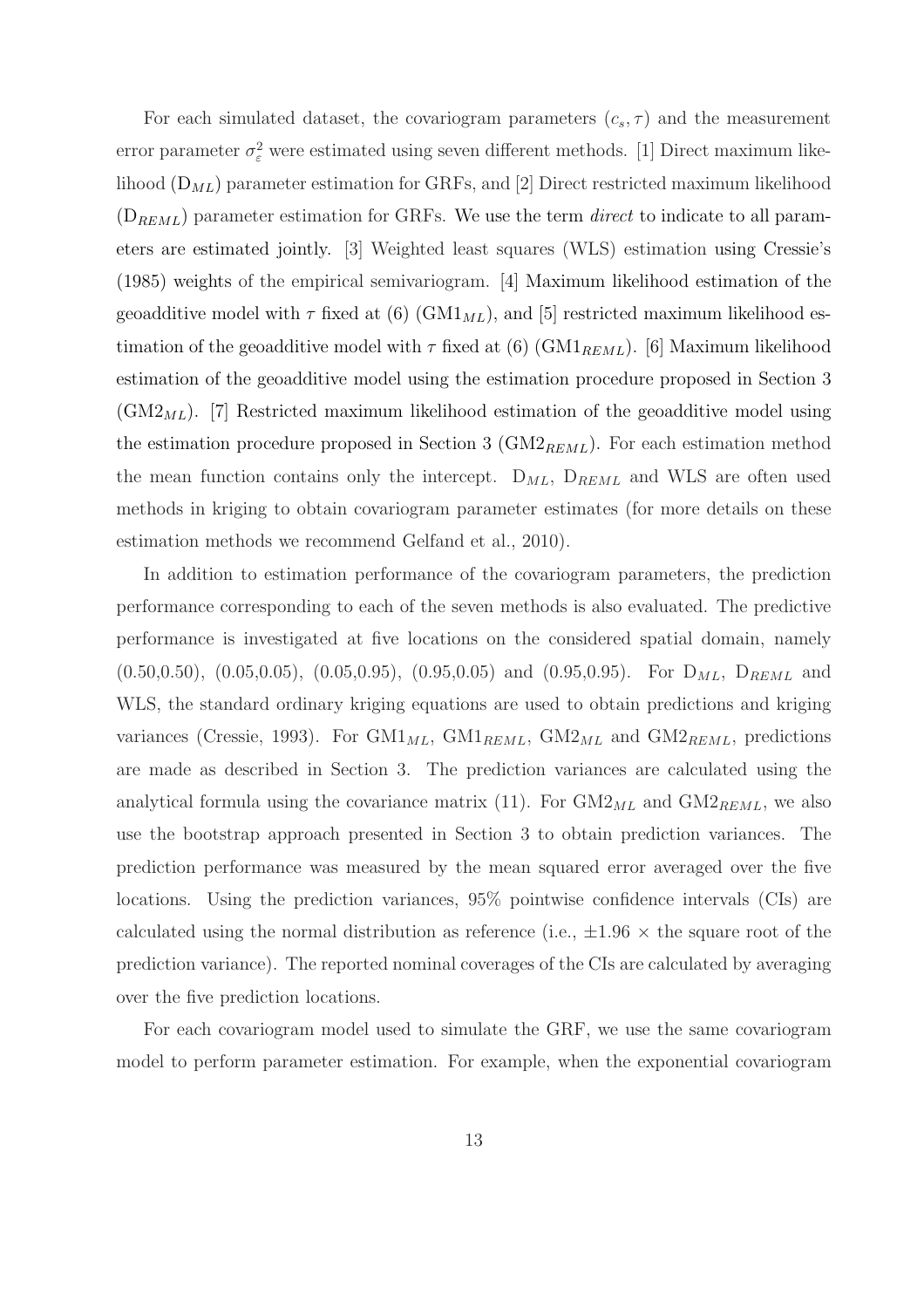For each simulated dataset, the covariogram parameters  $(c_s, \tau)$  and the measurement error parameter  $\sigma_{\varepsilon}^2$  were estimated using seven different methods. [1] Direct maximum likelihood  $(D_{ML})$  parameter estimation for GRFs, and [2] Direct restricted maximum likelihood (DREML) parameter estimation for GRFs. We use the term *direct* to indicate to all parameters are estimated jointly. [3] Weighted least squares (WLS) estimation using Cressie's (1985) weights of the empirical semivariogram. [4] Maximum likelihood estimation of the geoadditive model with  $\tau$  fixed at (6) (GM1<sub>ML</sub>), and [5] restricted maximum likelihood estimation of the geoadditive model with  $\tau$  fixed at (6) (GM1<sub>REML</sub>). [6] Maximum likelihood estimation of the geoadditive model using the estimation procedure proposed in Section 3  $(GM2<sub>ML</sub>)$ . [7] Restricted maximum likelihood estimation of the geoadditive model using the estimation procedure proposed in Section 3 ( $\text{GM2}_{REML}$ ). For each estimation method the mean function contains only the intercept.  $D_{ML}$ ,  $D_{REML}$  and WLS are often used methods in kriging to obtain covariogram parameter estimates (for more details on these estimation methods we recommend Gelfand et al., 2010).

In addition to estimation performance of the covariogram parameters, the prediction performance corresponding to each of the seven methods is also evaluated. The predictive performance is investigated at five locations on the considered spatial domain, namely  $(0.50,0.50), (0.05,0.05), (0.05,0.95), (0.95,0.05)$  and  $(0.95,0.95)$ . For  $D_{ML}$ ,  $D_{REML}$  and WLS, the standard ordinary kriging equations are used to obtain predictions and kriging variances (Cressie, 1993). For  $GML_{ML}$ ,  $GML_{REML}$ ,  $GML_{ML}$  and  $GML_{REML}$ , predictions are made as described in Section 3. The prediction variances are calculated using the analytical formula using the covariance matrix (11). For  $GM2_{ML}$  and  $GM2_{REML}$ , we also use the bootstrap approach presented in Section 3 to obtain prediction variances. The prediction performance was measured by the mean squared error averaged over the five locations. Using the prediction variances, 95% pointwise confidence intervals (CIs) are calculated using the normal distribution as reference (i.e.,  $\pm 1.96 \times$  the square root of the prediction variance). The reported nominal coverages of the CIs are calculated by averaging over the five prediction locations.

For each covariogram model used to simulate the GRF, we use the same covariogram model to perform parameter estimation. For example, when the exponential covariogram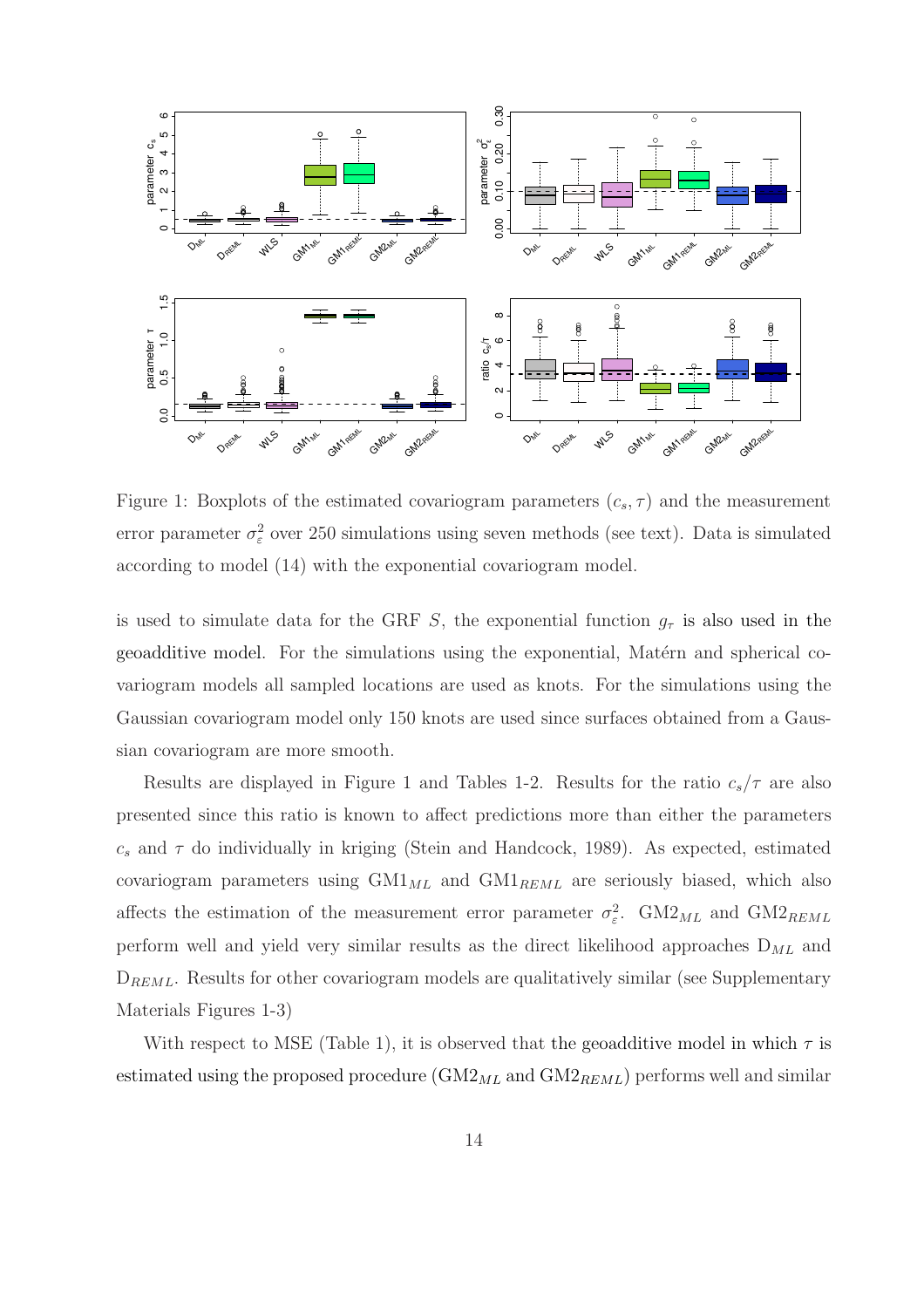

Figure 1: Boxplots of the estimated covariogram parameters  $(c_s, \tau)$  and the measurement error parameter  $\sigma_{\varepsilon}^2$  over 250 simulations using seven methods (see text). Data is simulated according to model (14) with the exponential covariogram model.

is used to simulate data for the GRF S, the exponential function  $g<sub>\tau</sub>$  is also used in the geoadditive model. For the simulations using the exponential, Matérn and spherical covariogram models all sampled locations are used as knots. For the simulations using the Gaussian covariogram model only 150 knots are used since surfaces obtained from a Gaussian covariogram are more smooth.

Results are displayed in Figure 1 and Tables 1-2. Results for the ratio  $c_s/\tau$  are also presented since this ratio is known to affect predictions more than either the parameters  $c_s$  and  $\tau$  do individually in kriging (Stein and Handcock, 1989). As expected, estimated covariogram parameters using  $GML_{ML}$  and  $GML_{REML}$  are seriously biased, which also affects the estimation of the measurement error parameter  $\sigma_{\varepsilon}^2$ . GM2<sub>ML</sub> and GM2<sub>REML</sub> perform well and yield very similar results as the direct likelihood approaches  $D_{ML}$  and  $D_{REML}$ . Results for other covariogram models are qualitatively similar (see Supplementary Materials Figures 1-3)

With respect to MSE (Table 1), it is observed that the geoadditive model in which  $\tau$  is estimated using the proposed procedure  $(GM2_{ML}$  and  $GM2_{REM}$ ) performs well and similar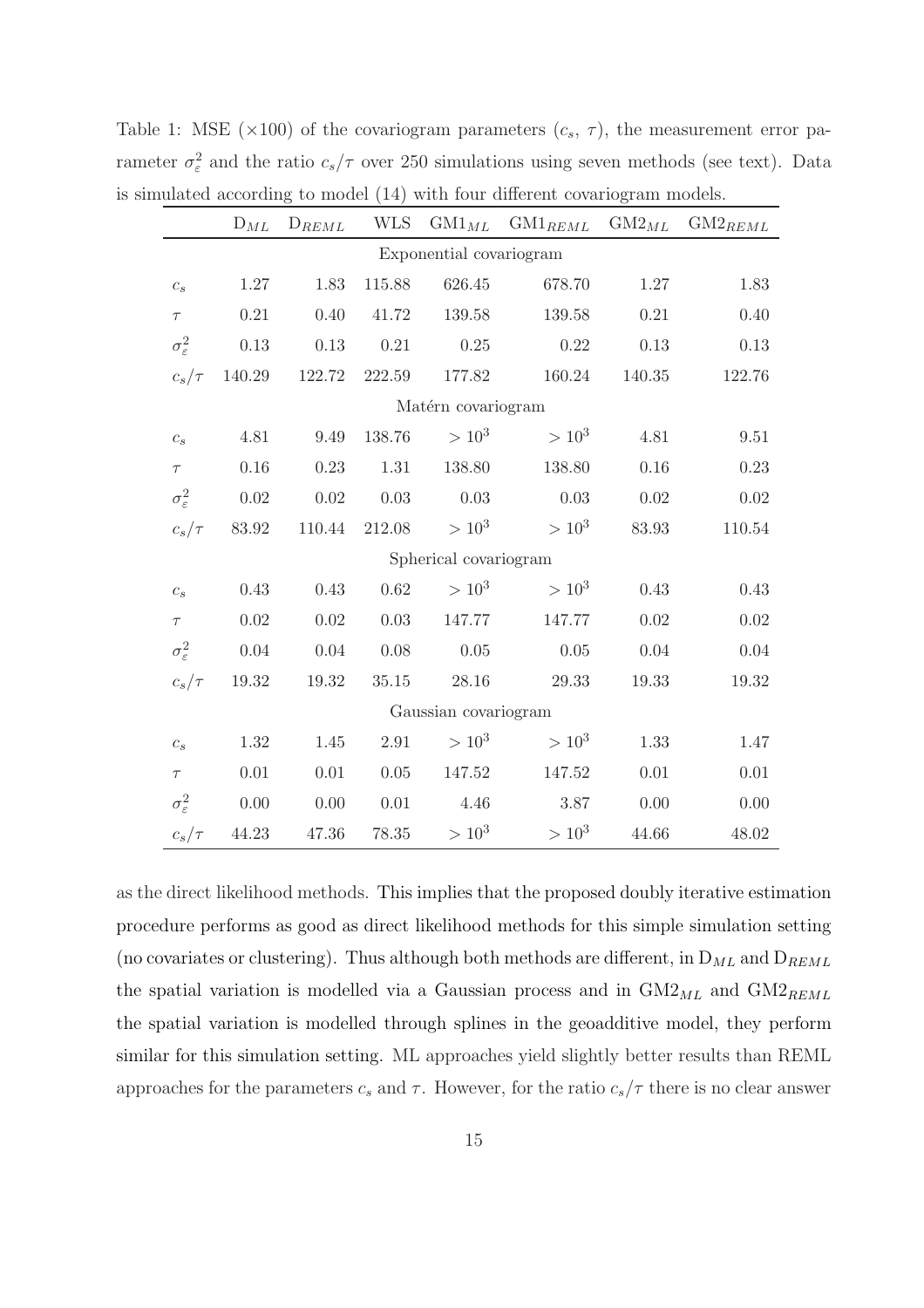|                             | $D_{ML}$ | $D_{REML}$ | <b>WLS</b> |            | $\mathrm{GMI}_{ML}$ $\mathrm{GMI}_{REML}$ | $\mathrm{GM2}_{ML}$ | $\mathrm{GM2}_{REML}$ |  |  |  |  |
|-----------------------------|----------|------------|------------|------------|-------------------------------------------|---------------------|-----------------------|--|--|--|--|
| Exponential covariogram     |          |            |            |            |                                           |                     |                       |  |  |  |  |
| $c_s$                       | $1.27\,$ | 1.83       | 115.88     | 626.45     | 678.70                                    | $1.27\,$            | 1.83                  |  |  |  |  |
| $\tau$                      | 0.21     | 0.40       | 41.72      | 139.58     | 139.58                                    | 0.21                | 0.40                  |  |  |  |  |
| $\sigma_{\varepsilon}^2$    | 0.13     | $0.13\,$   | $0.21\,$   | 0.25       | $0.22\,$                                  | 0.13                | 0.13                  |  |  |  |  |
| $c_s/\tau$                  | 140.29   | 122.72     | 222.59     | 177.82     | 160.24                                    | 140.35              | 122.76                |  |  |  |  |
| Matérn covariogram          |          |            |            |            |                                           |                     |                       |  |  |  |  |
| $\mathcal{C}_{\mathcal{S}}$ | 4.81     | 9.49       | 138.76     | $> 10^3$   | $> 10^3$                                  | 4.81                | 9.51                  |  |  |  |  |
| $\tau$                      | 0.16     | $0.23\,$   | $1.31\,$   | 138.80     | 138.80                                    | 0.16                | 0.23                  |  |  |  |  |
| $\sigma_{\varepsilon}^2$    | 0.02     | $0.02\,$   | $0.03\,$   | $0.03\,$   | $0.03\,$                                  | 0.02                | 0.02                  |  |  |  |  |
| $c_s/\tau$                  | 83.92    | 110.44     | 212.08     | $> 10^3$   | $> 10^3$                                  | 83.93               | 110.54                |  |  |  |  |
| Spherical covariogram       |          |            |            |            |                                           |                     |                       |  |  |  |  |
| $c_s$                       | 0.43     | 0.43       | 0.62       | $> 10^{3}$ | $> 10^3$                                  | 0.43                | 0.43                  |  |  |  |  |
| $\tau$                      | 0.02     | 0.02       | $0.03\,$   | 147.77     | 147.77                                    | 0.02                | 0.02                  |  |  |  |  |
| $\sigma_{\varepsilon}^2$    | 0.04     | $0.04\,$   | $0.08\,$   | $0.05\,$   | $0.05\,$                                  | $0.04\,$            | 0.04                  |  |  |  |  |
| $c_s/\tau$                  | 19.32    | 19.32      | $35.15\,$  | 28.16      | $29.33\,$                                 | 19.33               | 19.32                 |  |  |  |  |
| Gaussian covariogram        |          |            |            |            |                                           |                     |                       |  |  |  |  |
| $\mathcal{C}_{\mathcal{S}}$ | 1.32     | 1.45       | $2.91\,$   | $> 10^3$   | $> 10^3$                                  | 1.33                | 1.47                  |  |  |  |  |
| $\tau$                      | 0.01     | 0.01       | $0.05\,$   | 147.52     | 147.52                                    | 0.01                | 0.01                  |  |  |  |  |
| $\sigma_{\varepsilon}^2$    | 0.00     | $0.00\,$   | $0.01\,$   | 4.46       | $3.87\,$                                  | 0.00                | 0.00                  |  |  |  |  |
| $c_s/\tau$                  | 44.23    | 47.36      | 78.35      | $> 10^{3}$ | $> 10^{3}$                                | 44.66               | 48.02                 |  |  |  |  |

Table 1: MSE ( $\times$ 100) of the covariogram parameters ( $c_s$ ,  $\tau$ ), the measurement error parameter  $\sigma_{\varepsilon}^2$  and the ratio  $c_s/\tau$  over 250 simulations using seven methods (see text). Data is simulated according to model (14) with four different covariogram models.

as the direct likelihood methods. This implies that the proposed doubly iterative estimation procedure performs as good as direct likelihood methods for this simple simulation setting (no covariates or clustering). Thus although both methods are different, in  $D_{ML}$  and  $D_{REML}$ the spatial variation is modelled via a Gaussian process and in  $\text{GM2}_{ML}$  and  $\text{GM2}_{REML}$ the spatial variation is modelled through splines in the geoadditive model, they perform similar for this simulation setting. ML approaches yield slightly better results than REML approaches for the parameters  $c_s$  and  $\tau$ . However, for the ratio  $c_s/\tau$  there is no clear answer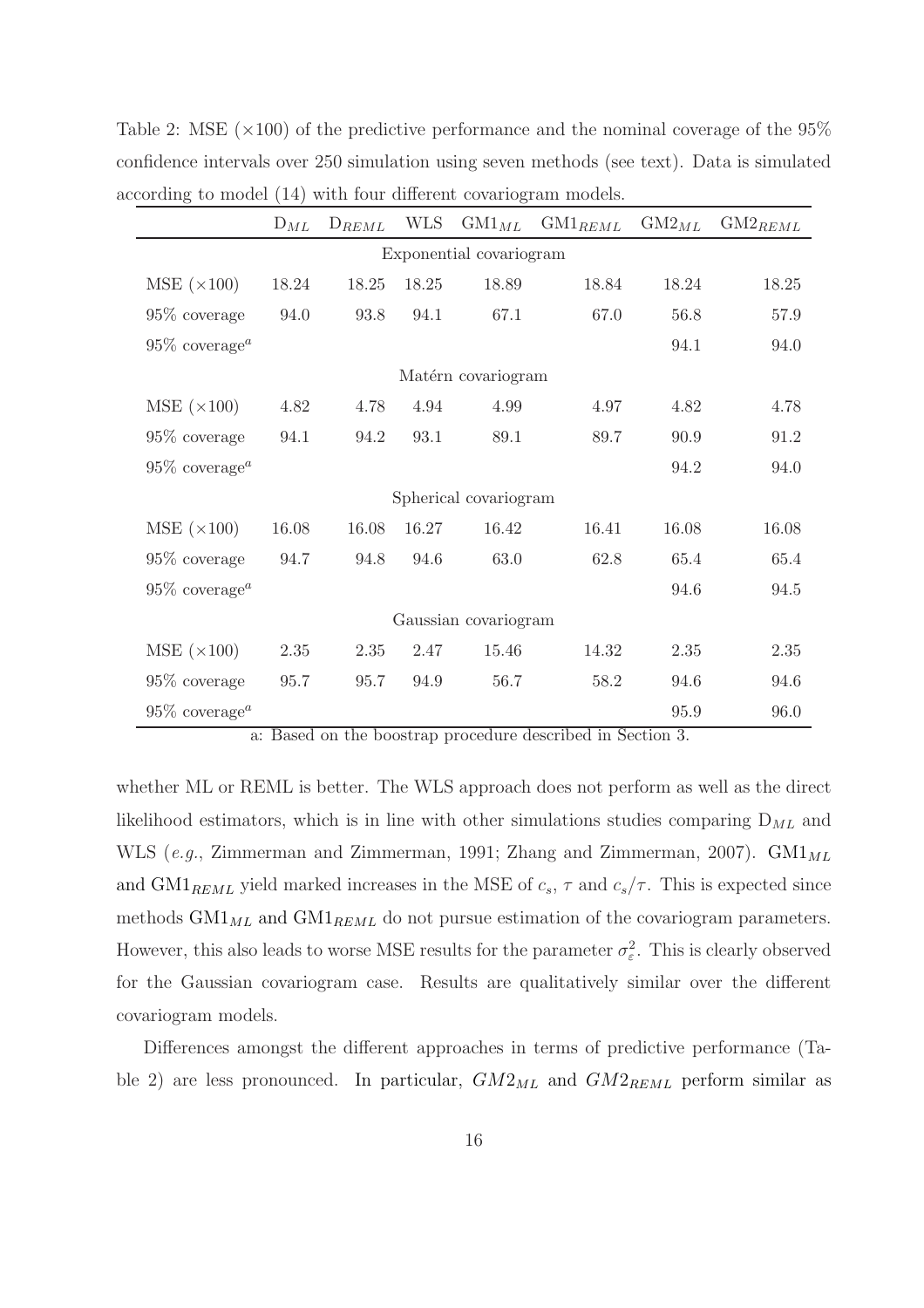|                                           | ${\rm D}_{ML}$ | $D_{REML}$ | WLS   |       | $\mathrm{GMI}_{ML}$ $\mathrm{GMI}_{REML}$ | $\mathrm{GM2}_{ML}$ | $\mathrm{GM2}_{REML}$ |  |  |  |  |
|-------------------------------------------|----------------|------------|-------|-------|-------------------------------------------|---------------------|-----------------------|--|--|--|--|
| Exponential covariogram                   |                |            |       |       |                                           |                     |                       |  |  |  |  |
| MSE(x100)                                 | 18.24          | 18.25      | 18.25 | 18.89 | 18.84                                     | 18.24               | 18.25                 |  |  |  |  |
| $95\%$ coverage                           | 94.0           | 93.8       | 94.1  | 67.1  | 67.0                                      | 56.8                | $57.9\,$              |  |  |  |  |
| $95\%$ coverage <sup><i>a</i></sup>       |                |            |       |       |                                           | 94.1                | 94.0                  |  |  |  |  |
| Matérn covariogram                        |                |            |       |       |                                           |                     |                       |  |  |  |  |
| MSE(x100)                                 | 4.82           | 4.78       | 4.94  | 4.99  | 4.97                                      | 4.82                | 4.78                  |  |  |  |  |
| $95\%$ coverage                           | 94.1           | 94.2       | 93.1  | 89.1  | 89.7                                      | 90.9                | $91.2\,$              |  |  |  |  |
| $95\%$ coverage <sup><math>a</math></sup> |                |            |       |       |                                           | 94.2                | 94.0                  |  |  |  |  |
| Spherical covariogram                     |                |            |       |       |                                           |                     |                       |  |  |  |  |
| MSE(x100)                                 | 16.08          | 16.08      | 16.27 | 16.42 | 16.41                                     | 16.08               | 16.08                 |  |  |  |  |
| $95\%$ coverage                           | 94.7           | 94.8       | 94.6  | 63.0  | 62.8                                      | 65.4                | 65.4                  |  |  |  |  |
| $95\%$ coverage <sup><i>a</i></sup>       |                |            |       |       |                                           | 94.6                | 94.5                  |  |  |  |  |
| Gaussian covariogram                      |                |            |       |       |                                           |                     |                       |  |  |  |  |
| MSE(x100)                                 | 2.35           | 2.35       | 2.47  | 15.46 | 14.32                                     | 2.35                | $2.35\,$              |  |  |  |  |
| $95\%$ coverage                           | 95.7           | 95.7       | 94.9  | 56.7  | 58.2                                      | 94.6                | 94.6                  |  |  |  |  |
| $95\%$ coverage <sup><i>a</i></sup>       |                |            |       |       |                                           | 95.9                | 96.0                  |  |  |  |  |

Table 2: MSE  $(\times 100)$  of the predictive performance and the nominal coverage of the 95% confidence intervals over 250 simulation using seven methods (see text). Data is simulated according to model (14) with four different covariogram models.

a: Based on the boostrap procedure described in Section 3.

whether ML or REML is better. The WLS approach does not perform as well as the direct likelihood estimators, which is in line with other simulations studies comparing  $D_{ML}$  and WLS (*e.g.*, Zimmerman and Zimmerman, 1991; Zhang and Zimmerman, 2007).  $GM1_{ML}$ and  $GMI_{REML}$  yield marked increases in the MSE of  $c_s$ ,  $\tau$  and  $c_s/\tau$ . This is expected since methods  $GMI_{ML}$  and  $GMI_{REML}$  do not pursue estimation of the covariogram parameters. However, this also leads to worse MSE results for the parameter  $\sigma_{\varepsilon}^2$ . This is clearly observed for the Gaussian covariogram case. Results are qualitatively similar over the different covariogram models.

Differences amongst the different approaches in terms of predictive performance (Table 2) are less pronounced. In particular,  $GM2_{ML}$  and  $GM2_{REML}$  perform similar as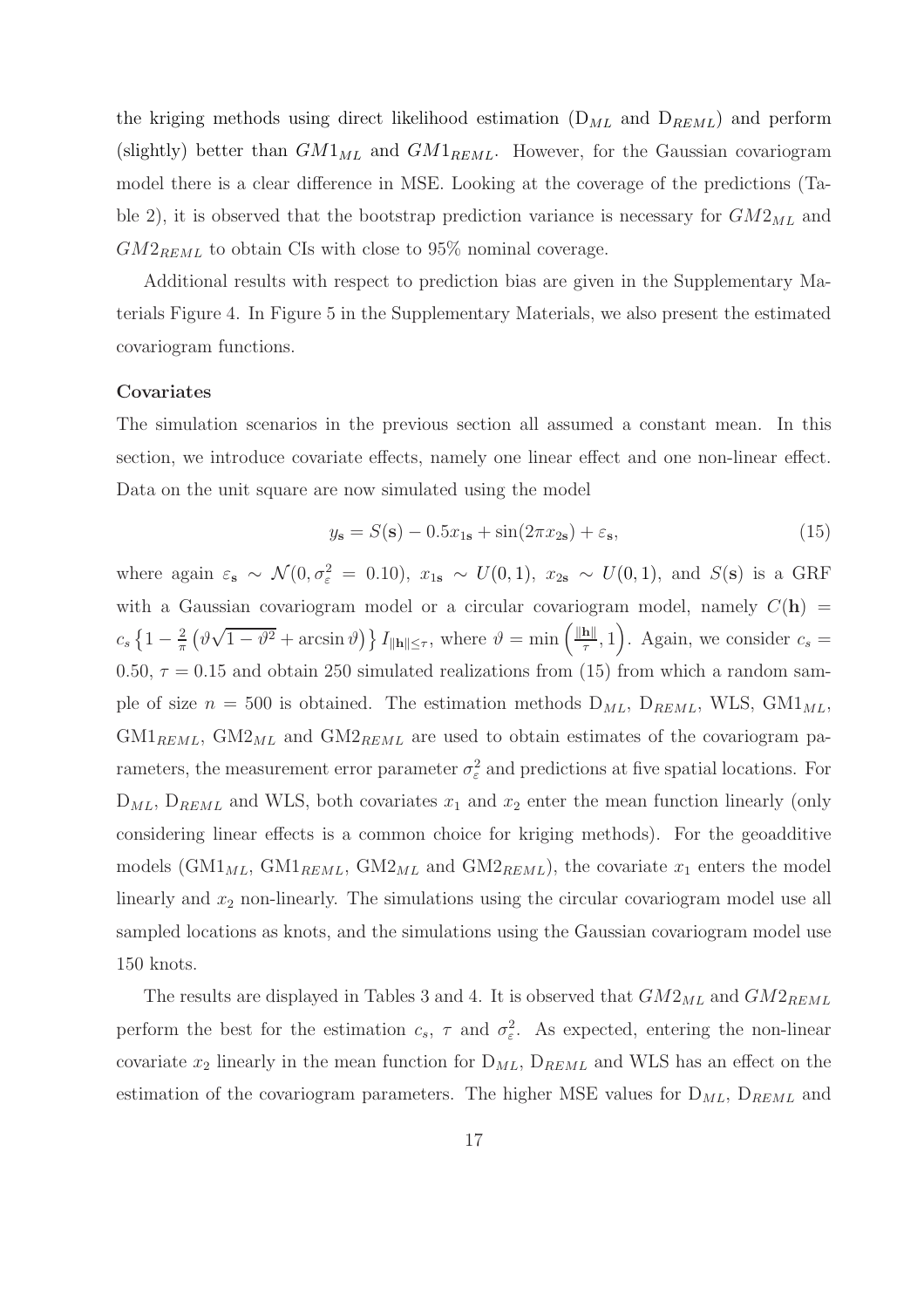the kriging methods using direct likelihood estimation  $(D_{ML}$  and  $D_{REML})$  and perform (slightly) better than  $GM1_{ML}$  and  $GM1_{REML}$ . However, for the Gaussian covariogram model there is a clear difference in MSE. Looking at the coverage of the predictions (Table 2), it is observed that the bootstrap prediction variance is necessary for  $GM2_{ML}$  and  $GM2_{REML}$  to obtain CIs with close to 95% nominal coverage.

Additional results with respect to prediction bias are given in the Supplementary Materials Figure 4. In Figure 5 in the Supplementary Materials, we also present the estimated covariogram functions.

#### Covariates

The simulation scenarios in the previous section all assumed a constant mean. In this section, we introduce covariate effects, namely one linear effect and one non-linear effect. Data on the unit square are now simulated using the model

$$
y_{\mathbf{s}} = S(\mathbf{s}) - 0.5x_{1\mathbf{s}} + \sin(2\pi x_{2\mathbf{s}}) + \varepsilon_{\mathbf{s}},\tag{15}
$$

where again  $\varepsilon_s \sim \mathcal{N}(0, \sigma_{\varepsilon}^2 = 0.10)$ ,  $x_{1s} \sim U(0, 1)$ ,  $x_{2s} \sim U(0, 1)$ , and  $S(s)$  is a GRF with a Gaussian covariogram model or a circular covariogram model, namely  $C(\mathbf{h}) =$  $c_s \left\{ 1 - \frac{2}{\pi} \right\}$  $\frac{2}{\pi} \left( \vartheta \sqrt{1 - \vartheta^2} + \arcsin \vartheta \right) \right\} I_{\|\mathbf{h}\| \leq \tau}$ , where  $\vartheta = \min \left( \frac{\|\mathbf{h}\|}{\tau} \right)$  $\left( \frac{\mathbf{h} \parallel}{\tau}, 1 \right)$ . Again, we consider  $c_s =$ 0.50,  $\tau = 0.15$  and obtain 250 simulated realizations from (15) from which a random sample of size  $n = 500$  is obtained. The estimation methods  $D_{ML}$ ,  $D_{REML}$ , WLS,  $GMI_{ML}$ ,  $GMI_{REML}$ ,  $GM2_{ML}$  and  $GM2_{REML}$  are used to obtain estimates of the covariogram parameters, the measurement error parameter  $\sigma_{\varepsilon}^2$  and predictions at five spatial locations. For  $D_{ML}$ ,  $D_{REML}$  and WLS, both covariates  $x_1$  and  $x_2$  enter the mean function linearly (only considering linear effects is a common choice for kriging methods). For the geoadditive models (GM1<sub>ML</sub>, GM1<sub>REML</sub>, GM2<sub>ML</sub> and GM2<sub>REML</sub>), the covariate  $x_1$  enters the model linearly and  $x_2$  non-linearly. The simulations using the circular covariogram model use all sampled locations as knots, and the simulations using the Gaussian covariogram model use 150 knots.

The results are displayed in Tables 3 and 4. It is observed that  $GM2_{ML}$  and  $GM2_{REML}$ perform the best for the estimation  $c_s$ ,  $\tau$  and  $\sigma_{\varepsilon}^2$ . As expected, entering the non-linear covariate  $x_2$  linearly in the mean function for  $D_{ML}$ ,  $D_{REML}$  and WLS has an effect on the estimation of the covariogram parameters. The higher MSE values for  $D_{ML}$ ,  $D_{REML}$  and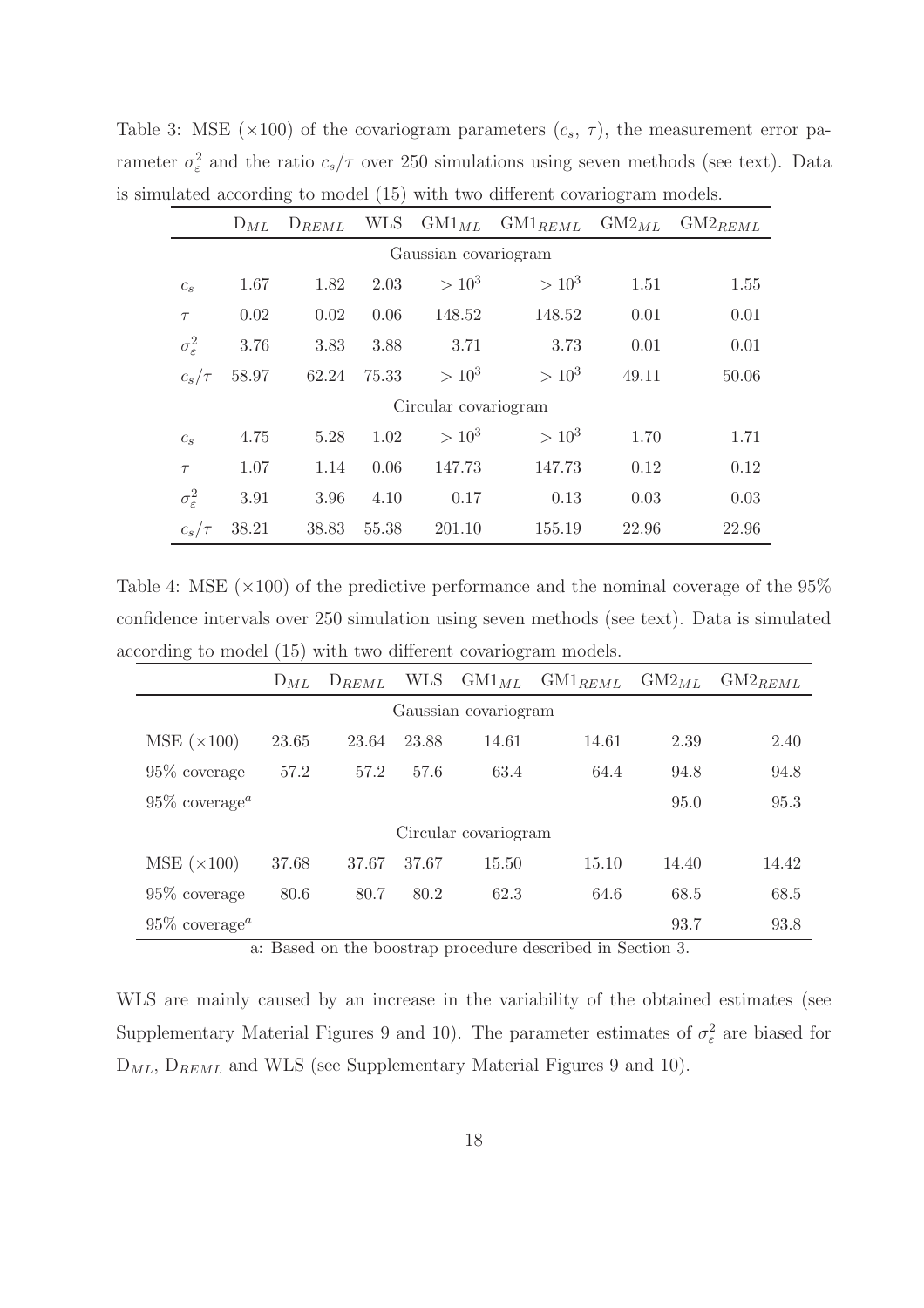| WLS<br>$\mathrm{GMI}_{ML}$<br>$\text{GMI}_{REML}$ $\text{GM2}_{ML}$<br>$D_{ML}$<br>$D_{REML}$<br>Gaussian covariogram<br>$> 10^3$<br>$> 10^3$<br>1.67<br>1.82<br>2.03<br>1.51<br>$c_s$<br>148.52<br>0.02<br>0.06<br>0.02<br>148.52<br>0.01<br>$\tau$<br>$\sigma_{\varepsilon}^2$<br>3.76<br>3.88<br>3.73<br>3.83<br>3.71<br>0.01<br>$> 10^3$<br>$> 10^3$<br>75.33<br>58.97<br>62.24<br>49.11<br>$c_s/\tau$<br>Circular covariogram<br>$> 10^3$<br>$> 10^3$<br>1.02<br>1.70<br>4.75<br>5.28<br>$c_s$ | mianova accoranze to moder (19) with two american covariogram models. |  |  |  |  |  |  |                     |  |  |  |  |
|-----------------------------------------------------------------------------------------------------------------------------------------------------------------------------------------------------------------------------------------------------------------------------------------------------------------------------------------------------------------------------------------------------------------------------------------------------------------------------------------------------|-----------------------------------------------------------------------|--|--|--|--|--|--|---------------------|--|--|--|--|
|                                                                                                                                                                                                                                                                                                                                                                                                                                                                                                     |                                                                       |  |  |  |  |  |  | $\text{GM2}_{REML}$ |  |  |  |  |
|                                                                                                                                                                                                                                                                                                                                                                                                                                                                                                     |                                                                       |  |  |  |  |  |  |                     |  |  |  |  |
|                                                                                                                                                                                                                                                                                                                                                                                                                                                                                                     |                                                                       |  |  |  |  |  |  | 1.55                |  |  |  |  |
|                                                                                                                                                                                                                                                                                                                                                                                                                                                                                                     |                                                                       |  |  |  |  |  |  | 0.01                |  |  |  |  |
|                                                                                                                                                                                                                                                                                                                                                                                                                                                                                                     |                                                                       |  |  |  |  |  |  | 0.01                |  |  |  |  |
|                                                                                                                                                                                                                                                                                                                                                                                                                                                                                                     |                                                                       |  |  |  |  |  |  | 50.06               |  |  |  |  |
|                                                                                                                                                                                                                                                                                                                                                                                                                                                                                                     |                                                                       |  |  |  |  |  |  |                     |  |  |  |  |
|                                                                                                                                                                                                                                                                                                                                                                                                                                                                                                     |                                                                       |  |  |  |  |  |  | 1.71                |  |  |  |  |
| 1.07<br>0.06<br>147.73<br>147.73<br>0.12<br>1.14<br>$\tau$                                                                                                                                                                                                                                                                                                                                                                                                                                          |                                                                       |  |  |  |  |  |  | 0.12                |  |  |  |  |
| $\sigma_{\varepsilon}^2$<br>3.91<br>4.10<br>3.96<br>0.03<br>0.17<br>0.13                                                                                                                                                                                                                                                                                                                                                                                                                            |                                                                       |  |  |  |  |  |  | 0.03                |  |  |  |  |
| 38.21<br>38.83<br>55.38<br>201.10<br>22.96<br>155.19<br>$c_s/\tau$                                                                                                                                                                                                                                                                                                                                                                                                                                  |                                                                       |  |  |  |  |  |  | 22.96               |  |  |  |  |

Table 3: MSE ( $\times$ 100) of the covariogram parameters ( $c_s$ ,  $\tau$ ), the measurement error parameter  $\sigma_{\varepsilon}^2$  and the ratio  $c_s/\tau$  over 250 simulations using seven methods (see text). Data is simulated according to model (15) with two different covariogram models.

Table 4: MSE  $(\times 100)$  of the predictive performance and the nominal coverage of the 95% confidence intervals over 250 simulation using seven methods (see text). Data is simulated according to model (15) with two different covariogram models.

|                                     | $D_{ML}$ | $D_{REML}$ | <b>WLS</b> | $\mathrm{GMI}_{ML}$ | $\mathrm{GMI}_{REML}$ | $GM2_{ML}$ | $GM2_{REML}$ |  |  |  |  |
|-------------------------------------|----------|------------|------------|---------------------|-----------------------|------------|--------------|--|--|--|--|
| Gaussian covariogram                |          |            |            |                     |                       |            |              |  |  |  |  |
| MSE(x100)                           | 23.65    | 23.64      | 23.88      | 14.61               | 14.61                 | 2.39       | 2.40         |  |  |  |  |
| $95\%$ coverage                     | 57.2     | 57.2       | 57.6       | 63.4                | 64.4                  | 94.8       | 94.8         |  |  |  |  |
| $95\%$ coverage <sup><i>a</i></sup> |          |            |            |                     |                       | 95.0       | 95.3         |  |  |  |  |
| Circular covariogram                |          |            |            |                     |                       |            |              |  |  |  |  |
| MSE(x100)                           | 37.68    | 37.67      | 37.67      | 15.50               | 15.10                 | 14.40      | 14.42        |  |  |  |  |
| $95\%$ coverage                     | 80.6     | 80.7       | 80.2       | 62.3                | 64.6                  | 68.5       | 68.5         |  |  |  |  |
| $95\%$ coverage <sup><i>a</i></sup> |          |            |            |                     |                       | 93.7       | 93.8         |  |  |  |  |

a: Based on the boostrap procedure described in Section 3.

WLS are mainly caused by an increase in the variability of the obtained estimates (see Supplementary Material Figures 9 and 10). The parameter estimates of  $\sigma_{\varepsilon}^2$  are biased for  $D_{ML}$ ,  $D_{REML}$  and WLS (see Supplementary Material Figures 9 and 10).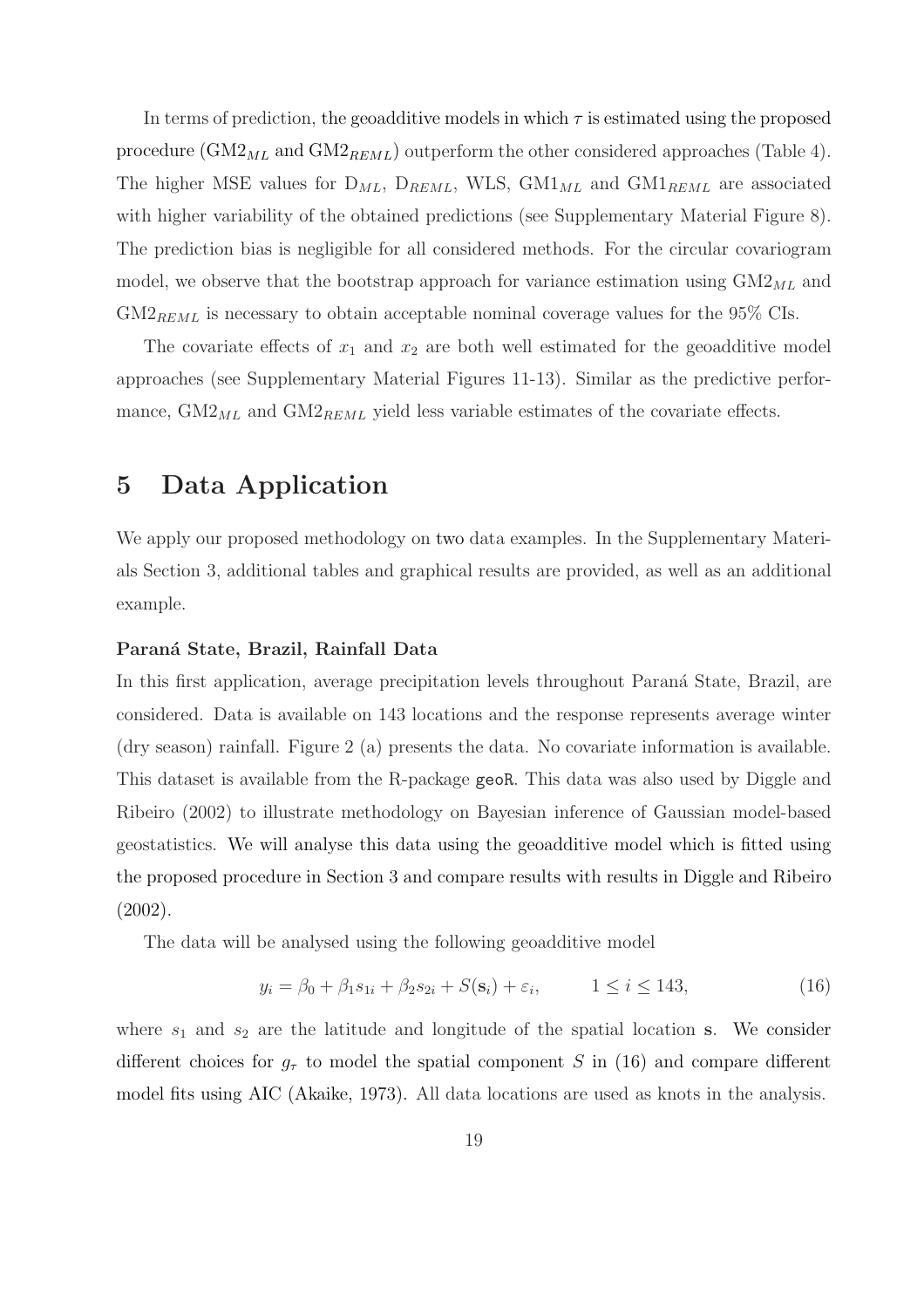In terms of prediction, the geoadditive models in which  $\tau$  is estimated using the proposed procedure  $(GM2_{ML}$  and  $GM2_{REML})$  outperform the other considered approaches (Table 4). The higher MSE values for  $D_{ML}$ ,  $D_{REML}$ , WLS,  $GMI_{ML}$  and  $GMI_{REML}$  are associated with higher variability of the obtained predictions (see Supplementary Material Figure 8). The prediction bias is negligible for all considered methods. For the circular covariogram model, we observe that the bootstrap approach for variance estimation using  $GM2<sub>ML</sub>$  and  $GM2<sub>REML</sub>$  is necessary to obtain acceptable nominal coverage values for the 95% CIs.

The covariate effects of  $x_1$  and  $x_2$  are both well estimated for the geoadditive model approaches (see Supplementary Material Figures 11-13). Similar as the predictive performance,  $GM2<sub>ML</sub>$  and  $GM2<sub>REM</sub>$  yield less variable estimates of the covariate effects.

### 5 Data Application

We apply our proposed methodology on two data examples. In the Supplementary Materials Section 3, additional tables and graphical results are provided, as well as an additional example.

#### Paraná State, Brazil, Rainfall Data

In this first application, average precipitation levels throughout Paraná State, Brazil, are considered. Data is available on 143 locations and the response represents average winter (dry season) rainfall. Figure 2 (a) presents the data. No covariate information is available. This dataset is available from the R-package geoR. This data was also used by Diggle and Ribeiro (2002) to illustrate methodology on Bayesian inference of Gaussian model-based geostatistics. We will analyse this data using the geoadditive model which is fitted using the proposed procedure in Section 3 and compare results with results in Diggle and Ribeiro (2002).

The data will be analysed using the following geoadditive model

$$
y_i = \beta_0 + \beta_1 s_{1i} + \beta_2 s_{2i} + S(\mathbf{s}_i) + \varepsilon_i, \qquad 1 \le i \le 143,
$$
 (16)

where  $s_1$  and  $s_2$  are the latitude and longitude of the spatial location s. We consider different choices for  $g<sub>\tau</sub>$  to model the spatial component S in (16) and compare different model fits using AIC (Akaike, 1973). All data locations are used as knots in the analysis.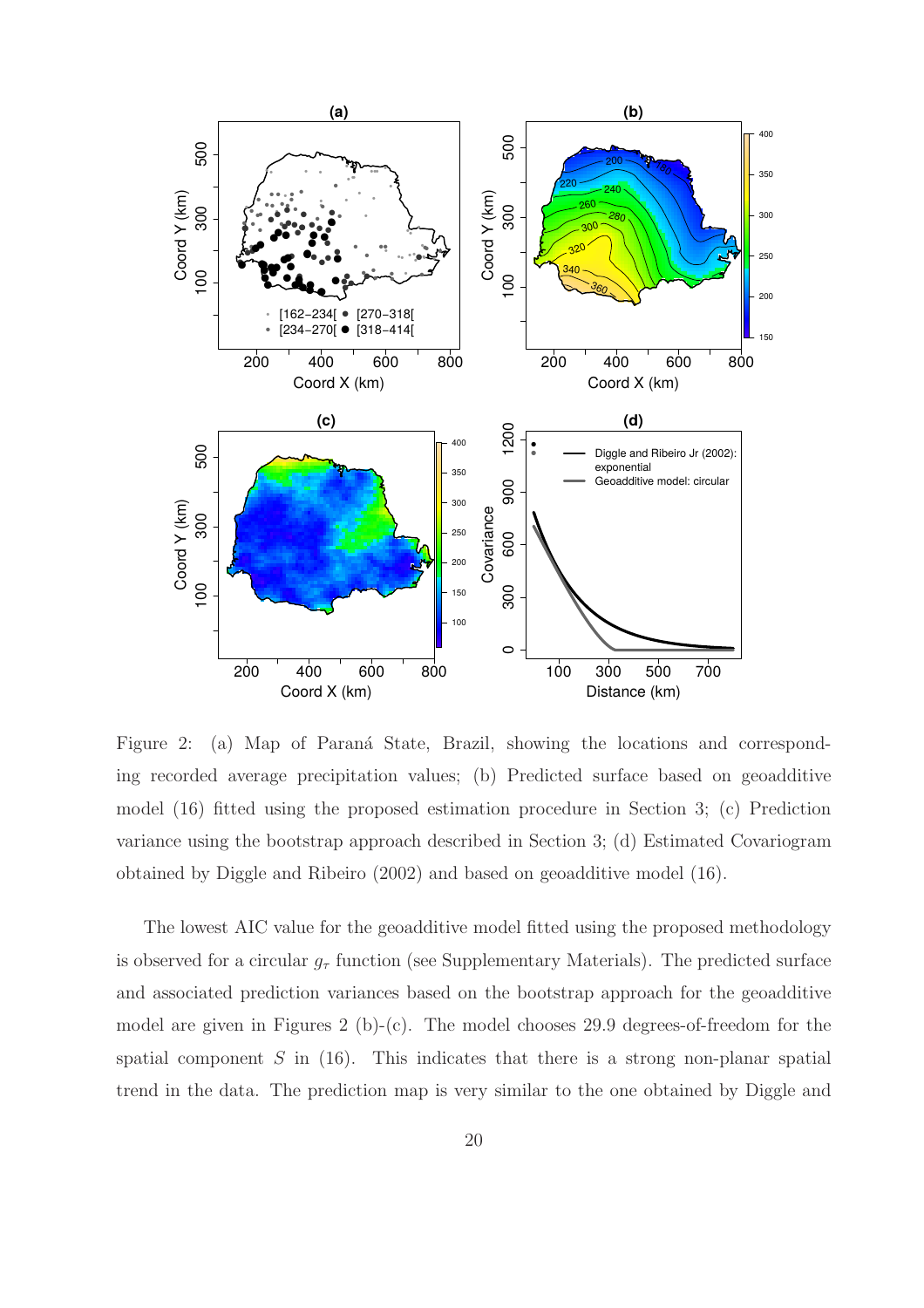

Figure 2: (a) Map of Paraná State, Brazil, showing the locations and corresponding recorded average precipitation values; (b) Predicted surface based on geoadditive model (16) fitted using the proposed estimation procedure in Section 3; (c) Prediction variance using the bootstrap approach described in Section 3; (d) Estimated Covariogram obtained by Diggle and Ribeiro (2002) and based on geoadditive model (16).

The lowest AIC value for the geoadditive model fitted using the proposed methodology is observed for a circular  $g_{\tau}$  function (see Supplementary Materials). The predicted surface and associated prediction variances based on the bootstrap approach for the geoadditive model are given in Figures 2 (b)-(c). The model chooses 29.9 degrees-of-freedom for the spatial component  $S$  in (16). This indicates that there is a strong non-planar spatial trend in the data. The prediction map is very similar to the one obtained by Diggle and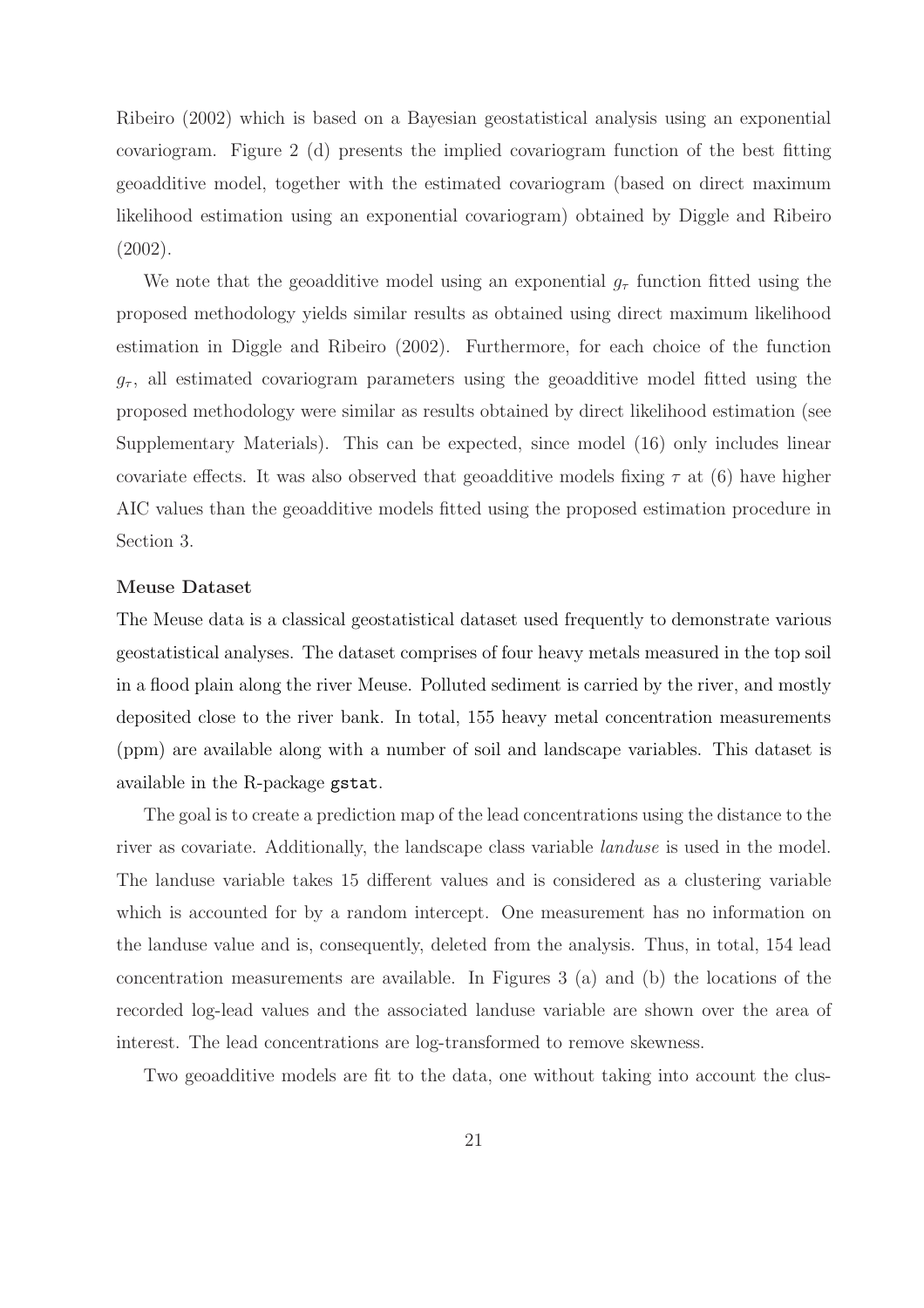Ribeiro (2002) which is based on a Bayesian geostatistical analysis using an exponential covariogram. Figure 2 (d) presents the implied covariogram function of the best fitting geoadditive model, together with the estimated covariogram (based on direct maximum likelihood estimation using an exponential covariogram) obtained by Diggle and Ribeiro (2002).

We note that the geoadditive model using an exponential  $g<sub>\tau</sub>$  function fitted using the proposed methodology yields similar results as obtained using direct maximum likelihood estimation in Diggle and Ribeiro (2002). Furthermore, for each choice of the function  $g_{\tau}$ , all estimated covariogram parameters using the geoadditive model fitted using the proposed methodology were similar as results obtained by direct likelihood estimation (see Supplementary Materials). This can be expected, since model (16) only includes linear covariate effects. It was also observed that geoadditive models fixing  $\tau$  at (6) have higher AIC values than the geoadditive models fitted using the proposed estimation procedure in Section 3.

#### Meuse Dataset

The Meuse data is a classical geostatistical dataset used frequently to demonstrate various geostatistical analyses. The dataset comprises of four heavy metals measured in the top soil in a flood plain along the river Meuse. Polluted sediment is carried by the river, and mostly deposited close to the river bank. In total, 155 heavy metal concentration measurements (ppm) are available along with a number of soil and landscape variables. This dataset is available in the R-package gstat.

The goal is to create a prediction map of the lead concentrations using the distance to the river as covariate. Additionally, the landscape class variable *landuse* is used in the model. The landuse variable takes 15 different values and is considered as a clustering variable which is accounted for by a random intercept. One measurement has no information on the landuse value and is, consequently, deleted from the analysis. Thus, in total, 154 lead concentration measurements are available. In Figures 3 (a) and (b) the locations of the recorded log-lead values and the associated landuse variable are shown over the area of interest. The lead concentrations are log-transformed to remove skewness.

Two geoadditive models are fit to the data, one without taking into account the clus-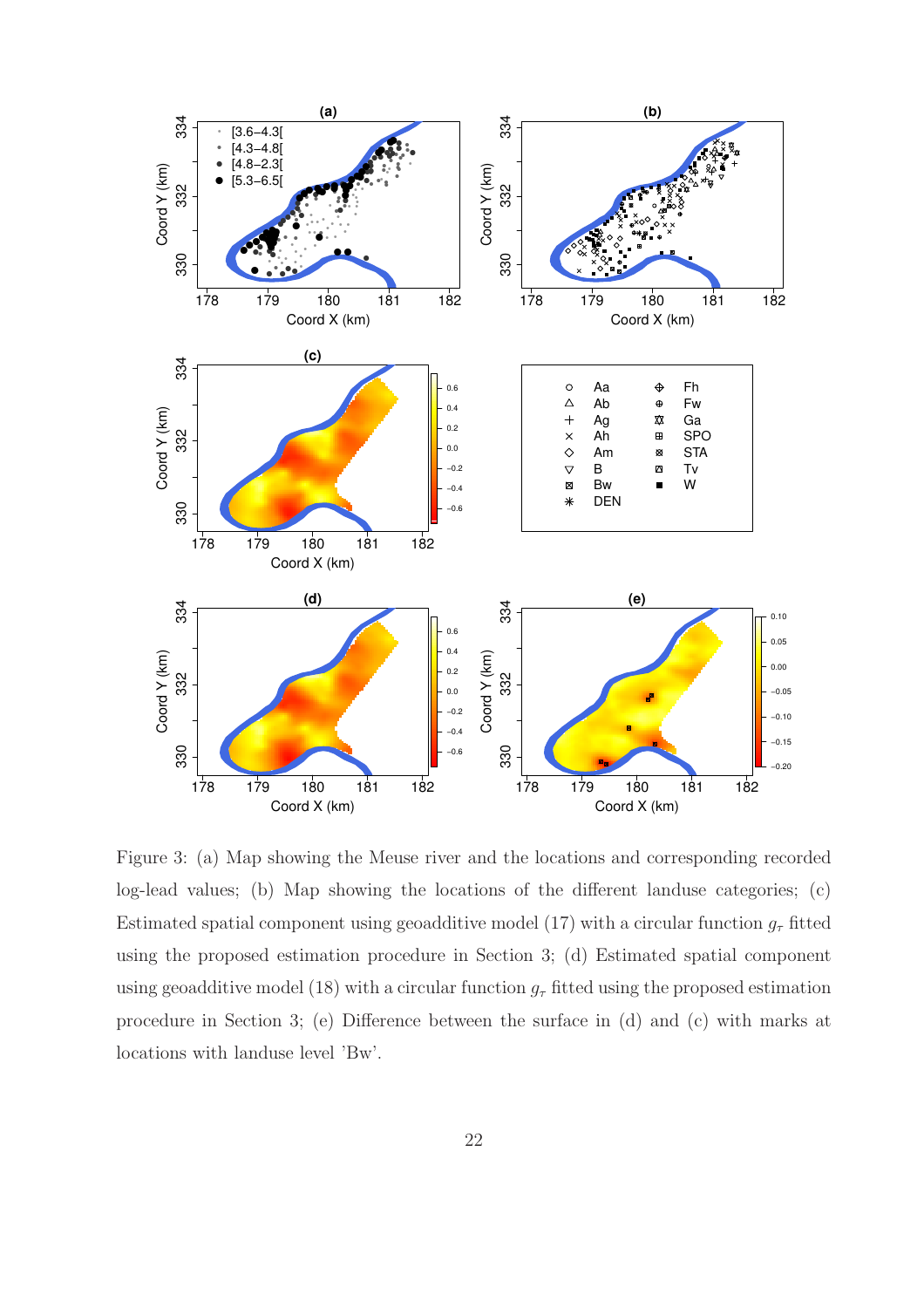

Figure 3: (a) Map showing the Meuse river and the locations and corresponding recorded log-lead values; (b) Map showing the locations of the different landuse categories; (c) Estimated spatial component using geoadditive model (17) with a circular function  $g<sub>\tau</sub>$  fitted using the proposed estimation procedure in Section 3; (d) Estimated spatial component using geoadditive model (18) with a circular function  $g<sub>\tau</sub>$  fitted using the proposed estimation procedure in Section 3; (e) Difference between the surface in (d) and (c) with marks at locations with landuse level 'Bw'.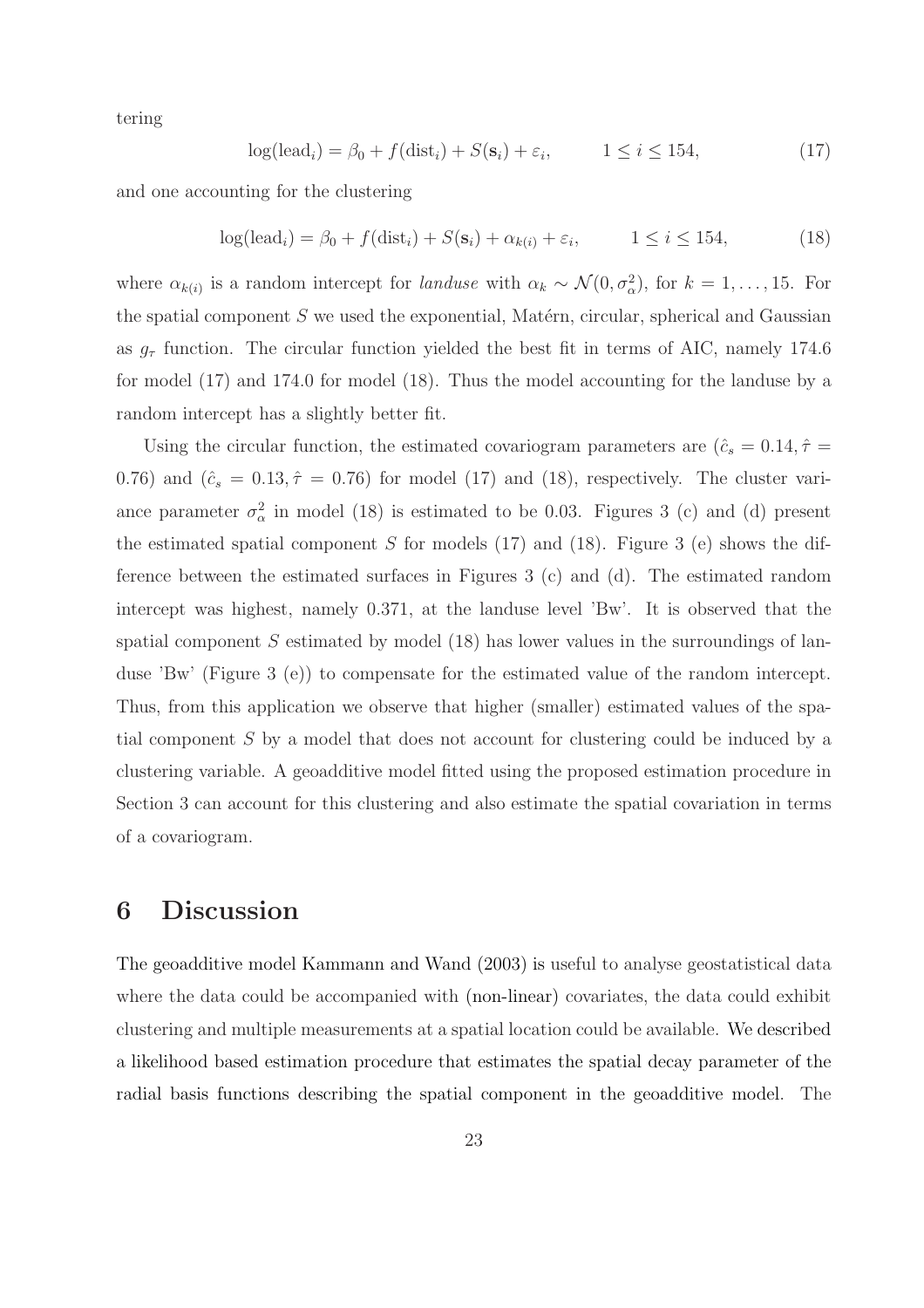tering

$$
\log(\text{lead}_i) = \beta_0 + f(\text{dist}_i) + S(\mathbf{s}_i) + \varepsilon_i, \qquad 1 \le i \le 154,
$$
 (17)

and one accounting for the clustering

$$
\log(\text{lead}_i) = \beta_0 + f(\text{dist}_i) + S(\mathbf{s}_i) + \alpha_{k(i)} + \varepsilon_i, \qquad 1 \le i \le 154,
$$
 (18)

where  $\alpha_{k(i)}$  is a random intercept for *landuse* with  $\alpha_k \sim \mathcal{N}(0, \sigma_\alpha^2)$ , for  $k = 1, ..., 15$ . For the spatial component  $S$  we used the exponential, Matérn, circular, spherical and Gaussian as  $g_{\tau}$  function. The circular function yielded the best fit in terms of AIC, namely 174.6 for model (17) and 174.0 for model (18). Thus the model accounting for the landuse by a random intercept has a slightly better fit.

Using the circular function, the estimated covariogram parameters are  $(\hat{c}_s = 0.14, \hat{\tau} =$ 0.76) and  $(\hat{c}_s = 0.13, \hat{\tau} = 0.76)$  for model (17) and (18), respectively. The cluster variance parameter  $\sigma_{\alpha}^2$  in model (18) is estimated to be 0.03. Figures 3 (c) and (d) present the estimated spatial component S for models  $(17)$  and  $(18)$ . Figure 3 (e) shows the difference between the estimated surfaces in Figures 3 (c) and (d). The estimated random intercept was highest, namely 0.371, at the landuse level 'Bw'. It is observed that the spatial component S estimated by model  $(18)$  has lower values in the surroundings of landuse 'Bw' (Figure 3 (e)) to compensate for the estimated value of the random intercept. Thus, from this application we observe that higher (smaller) estimated values of the spatial component S by a model that does not account for clustering could be induced by a clustering variable. A geoadditive model fitted using the proposed estimation procedure in Section 3 can account for this clustering and also estimate the spatial covariation in terms of a covariogram.

## 6 Discussion

The geoadditive model Kammann and Wand (2003) is useful to analyse geostatistical data where the data could be accompanied with (non-linear) covariates, the data could exhibit clustering and multiple measurements at a spatial location could be available. We described a likelihood based estimation procedure that estimates the spatial decay parameter of the radial basis functions describing the spatial component in the geoadditive model. The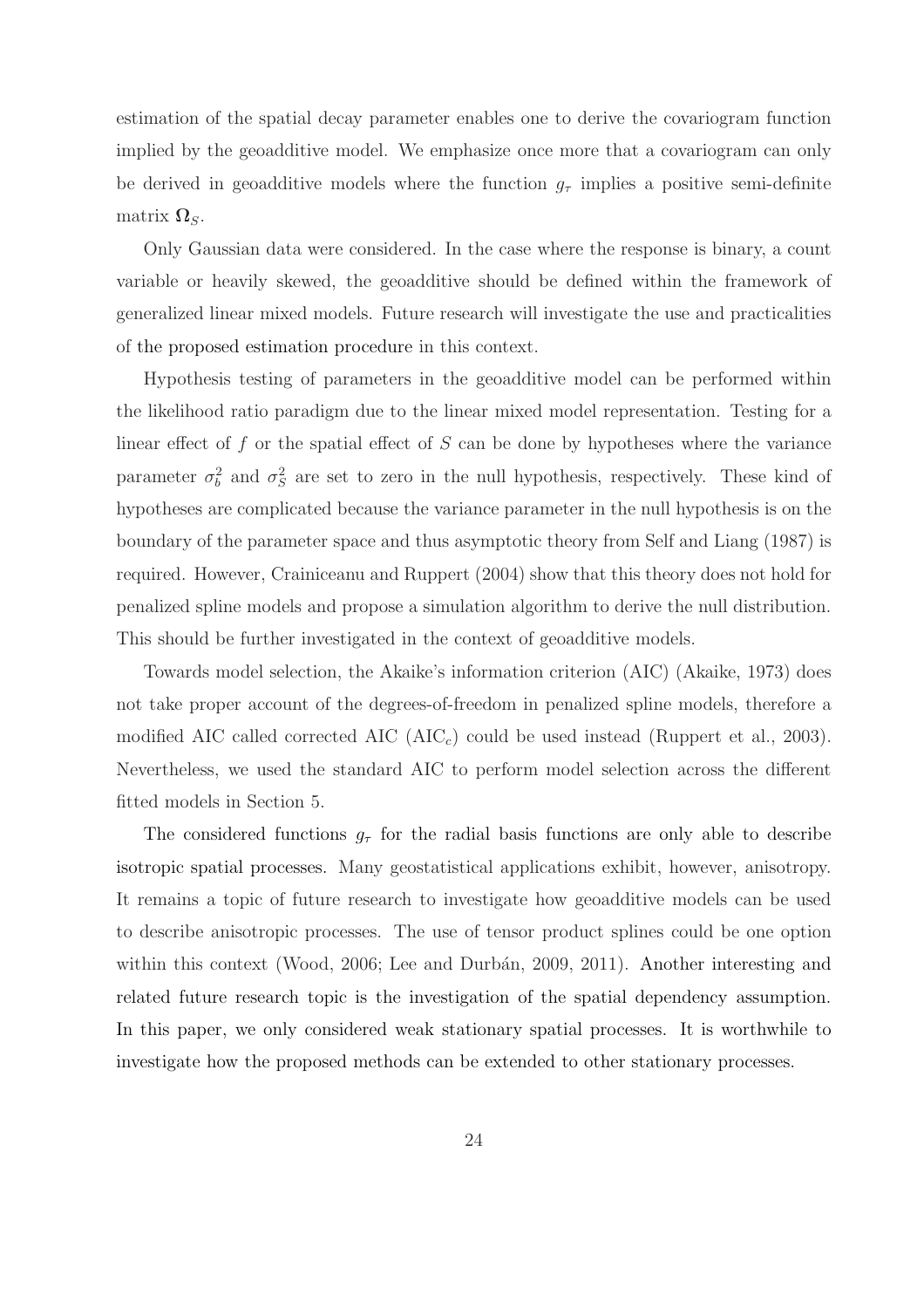estimation of the spatial decay parameter enables one to derive the covariogram function implied by the geoadditive model. We emphasize once more that a covariogram can only be derived in geoadditive models where the function  $g<sub>\tau</sub>$  implies a positive semi-definite matrix  $\Omega_S$ .

Only Gaussian data were considered. In the case where the response is binary, a count variable or heavily skewed, the geoadditive should be defined within the framework of generalized linear mixed models. Future research will investigate the use and practicalities of the proposed estimation procedure in this context.

Hypothesis testing of parameters in the geoadditive model can be performed within the likelihood ratio paradigm due to the linear mixed model representation. Testing for a linear effect of  $f$  or the spatial effect of  $S$  can be done by hypotheses where the variance parameter  $\sigma_b^2$  and  $\sigma_S^2$  are set to zero in the null hypothesis, respectively. These kind of hypotheses are complicated because the variance parameter in the null hypothesis is on the boundary of the parameter space and thus asymptotic theory from Self and Liang (1987) is required. However, Crainiceanu and Ruppert (2004) show that this theory does not hold for penalized spline models and propose a simulation algorithm to derive the null distribution. This should be further investigated in the context of geoadditive models.

Towards model selection, the Akaike's information criterion (AIC) (Akaike, 1973) does not take proper account of the degrees-of-freedom in penalized spline models, therefore a modified AIC called corrected AIC  $(AIC<sub>c</sub>)$  could be used instead (Ruppert et al., 2003). Nevertheless, we used the standard AIC to perform model selection across the different fitted models in Section 5.

The considered functions  $g_{\tau}$  for the radial basis functions are only able to describe isotropic spatial processes. Many geostatistical applications exhibit, however, anisotropy. It remains a topic of future research to investigate how geoadditive models can be used to describe anisotropic processes. The use of tensor product splines could be one option within this context (Wood, 2006; Lee and Durbán, 2009, 2011). Another interesting and related future research topic is the investigation of the spatial dependency assumption. In this paper, we only considered weak stationary spatial processes. It is worthwhile to investigate how the proposed methods can be extended to other stationary processes.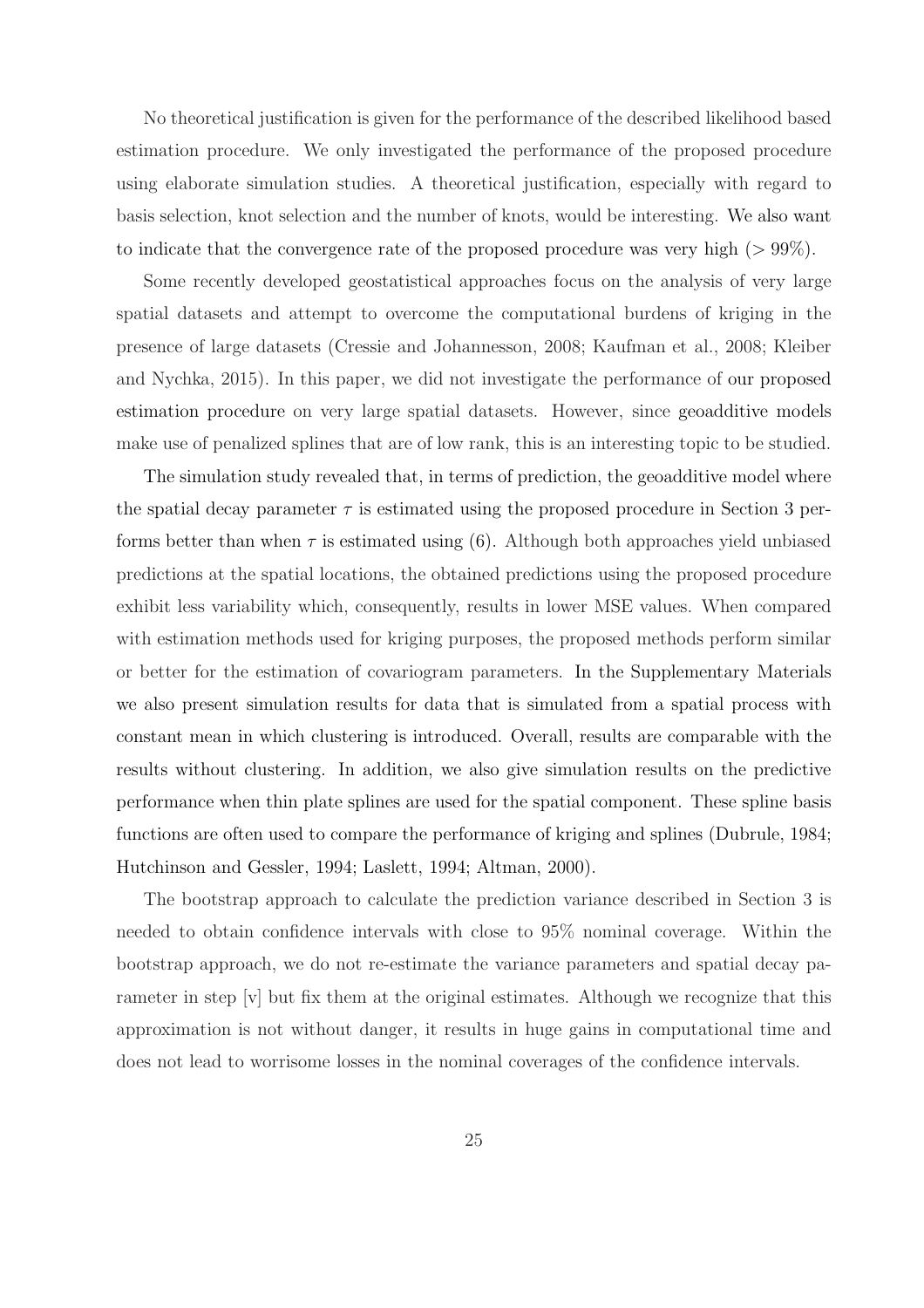No theoretical justification is given for the performance of the described likelihood based estimation procedure. We only investigated the performance of the proposed procedure using elaborate simulation studies. A theoretical justification, especially with regard to basis selection, knot selection and the number of knots, would be interesting. We also want to indicate that the convergence rate of the proposed procedure was very high  $(>99\%)$ .

Some recently developed geostatistical approaches focus on the analysis of very large spatial datasets and attempt to overcome the computational burdens of kriging in the presence of large datasets (Cressie and Johannesson, 2008; Kaufman et al., 2008; Kleiber and Nychka, 2015). In this paper, we did not investigate the performance of our proposed estimation procedure on very large spatial datasets. However, since geoadditive models make use of penalized splines that are of low rank, this is an interesting topic to be studied.

The simulation study revealed that, in terms of prediction, the geoadditive model where the spatial decay parameter  $\tau$  is estimated using the proposed procedure in Section 3 performs better than when  $\tau$  is estimated using (6). Although both approaches yield unbiased predictions at the spatial locations, the obtained predictions using the proposed procedure exhibit less variability which, consequently, results in lower MSE values. When compared with estimation methods used for kriging purposes, the proposed methods perform similar or better for the estimation of covariogram parameters. In the Supplementary Materials we also present simulation results for data that is simulated from a spatial process with constant mean in which clustering is introduced. Overall, results are comparable with the results without clustering. In addition, we also give simulation results on the predictive performance when thin plate splines are used for the spatial component. These spline basis functions are often used to compare the performance of kriging and splines (Dubrule, 1984; Hutchinson and Gessler, 1994; Laslett, 1994; Altman, 2000).

The bootstrap approach to calculate the prediction variance described in Section 3 is needed to obtain confidence intervals with close to 95% nominal coverage. Within the bootstrap approach, we do not re-estimate the variance parameters and spatial decay parameter in step [v] but fix them at the original estimates. Although we recognize that this approximation is not without danger, it results in huge gains in computational time and does not lead to worrisome losses in the nominal coverages of the confidence intervals.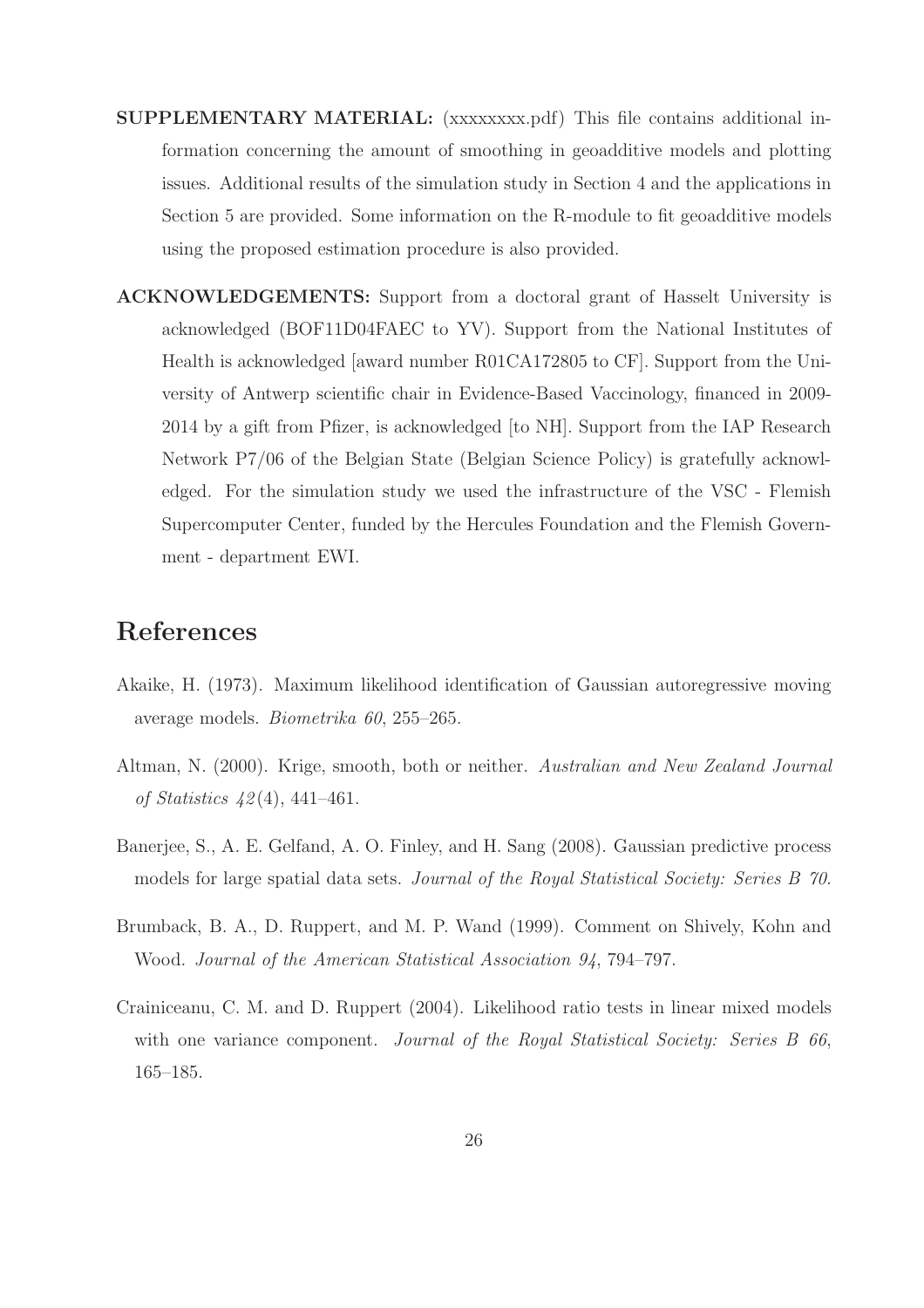- SUPPLEMENTARY MATERIAL: (xxxxxxxx.pdf) This file contains additional information concerning the amount of smoothing in geoadditive models and plotting issues. Additional results of the simulation study in Section 4 and the applications in Section 5 are provided. Some information on the R-module to fit geoadditive models using the proposed estimation procedure is also provided.
- ACKNOWLEDGEMENTS: Support from a doctoral grant of Hasselt University is acknowledged (BOF11D04FAEC to YV). Support from the National Institutes of Health is acknowledged [award number R01CA172805 to CF]. Support from the University of Antwerp scientific chair in Evidence-Based Vaccinology, financed in 2009- 2014 by a gift from Pfizer, is acknowledged [to NH]. Support from the IAP Research Network P7/06 of the Belgian State (Belgian Science Policy) is gratefully acknowledged. For the simulation study we used the infrastructure of the VSC - Flemish Supercomputer Center, funded by the Hercules Foundation and the Flemish Government - department EWI.

# References

- Akaike, H. (1973). Maximum likelihood identification of Gaussian autoregressive moving average models. *Biometrika 60*, 255–265.
- Altman, N. (2000). Krige, smooth, both or neither. *Australian and New Zealand Journal of Statistics 42* (4), 441–461.
- Banerjee, S., A. E. Gelfand, A. O. Finley, and H. Sang (2008). Gaussian predictive process models for large spatial data sets. *Journal of the Royal Statistical Society: Series B 70*.
- Brumback, B. A., D. Ruppert, and M. P. Wand (1999). Comment on Shively, Kohn and Wood. *Journal of the American Statistical Association 94*, 794–797.
- Crainiceanu, C. M. and D. Ruppert (2004). Likelihood ratio tests in linear mixed models with one variance component. *Journal of the Royal Statistical Society: Series B 66*, 165–185.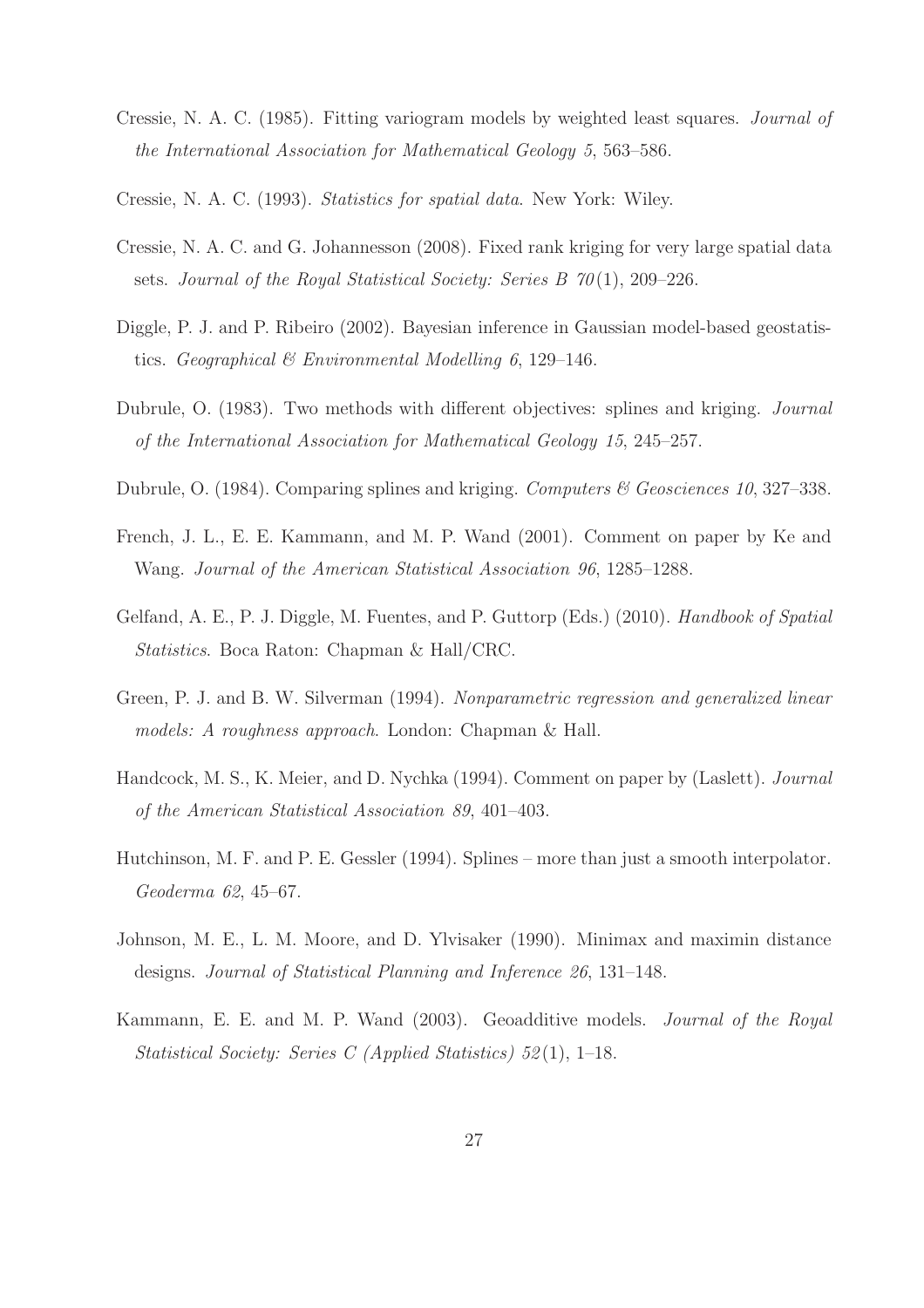- Cressie, N. A. C. (1985). Fitting variogram models by weighted least squares. *Journal of the International Association for Mathematical Geology 5*, 563–586.
- Cressie, N. A. C. (1993). *Statistics for spatial data*. New York: Wiley.
- Cressie, N. A. C. and G. Johannesson (2008). Fixed rank kriging for very large spatial data sets. *Journal of the Royal Statistical Society: Series B 70* (1), 209–226.
- Diggle, P. J. and P. Ribeiro (2002). Bayesian inference in Gaussian model-based geostatistics. *Geographical & Environmental Modelling 6*, 129–146.
- Dubrule, O. (1983). Two methods with different objectives: splines and kriging. *Journal of the International Association for Mathematical Geology 15*, 245–257.
- Dubrule, O. (1984). Comparing splines and kriging. *Computers & Geosciences 10*, 327–338.
- French, J. L., E. E. Kammann, and M. P. Wand (2001). Comment on paper by Ke and Wang. *Journal of the American Statistical Association 96*, 1285–1288.
- Gelfand, A. E., P. J. Diggle, M. Fuentes, and P. Guttorp (Eds.) (2010). *Handbook of Spatial Statistics*. Boca Raton: Chapman & Hall/CRC.
- Green, P. J. and B. W. Silverman (1994). *Nonparametric regression and generalized linear models: A roughness approach*. London: Chapman & Hall.
- Handcock, M. S., K. Meier, and D. Nychka (1994). Comment on paper by (Laslett). *Journal of the American Statistical Association 89*, 401–403.
- Hutchinson, M. F. and P. E. Gessler (1994). Splines more than just a smooth interpolator. *Geoderma 62*, 45–67.
- Johnson, M. E., L. M. Moore, and D. Ylvisaker (1990). Minimax and maximin distance designs. *Journal of Statistical Planning and Inference 26*, 131–148.
- Kammann, E. E. and M. P. Wand (2003). Geoadditive models. *Journal of the Royal Statistical Society: Series C (Applied Statistics) 52* (1), 1–18.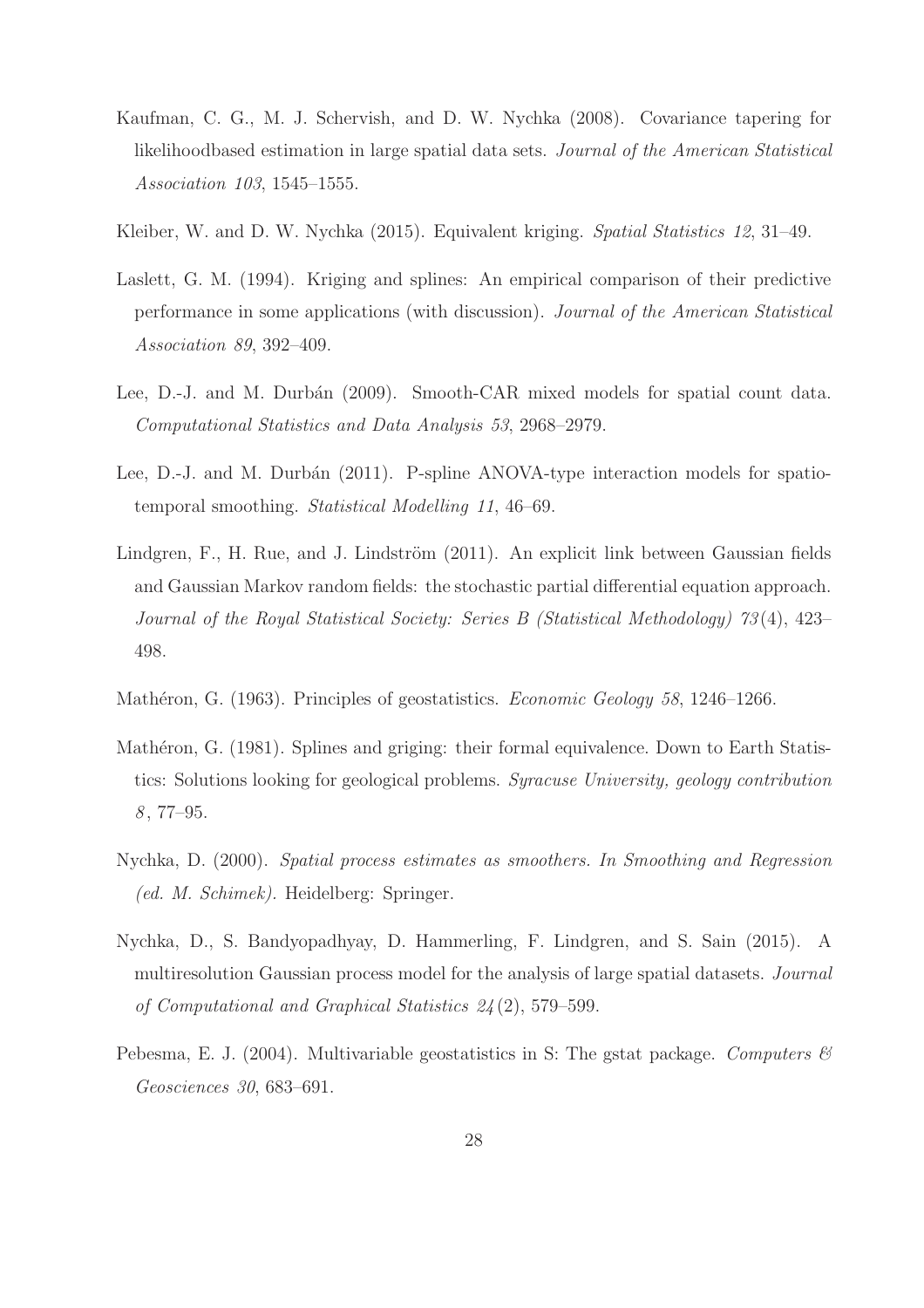- Kaufman, C. G., M. J. Schervish, and D. W. Nychka (2008). Covariance tapering for likelihoodbased estimation in large spatial data sets. *Journal of the American Statistical Association 103*, 1545–1555.
- Kleiber, W. and D. W. Nychka (2015). Equivalent kriging. *Spatial Statistics 12*, 31–49.
- Laslett, G. M. (1994). Kriging and splines: An empirical comparison of their predictive performance in some applications (with discussion). *Journal of the American Statistical Association 89*, 392–409.
- Lee, D.-J. and M. Durbán (2009). Smooth-CAR mixed models for spatial count data. *Computational Statistics and Data Analysis 53*, 2968–2979.
- Lee, D.-J. and M. Durbán (2011). P-spline ANOVA-type interaction models for spatiotemporal smoothing. *Statistical Modelling 11*, 46–69.
- Lindgren, F., H. Rue, and J. Lindström (2011). An explicit link between Gaussian fields and Gaussian Markov random fields: the stochastic partial differential equation approach. *Journal of the Royal Statistical Society: Series B (Statistical Methodology) 73* (4), 423– 498.
- Mathéron, G. (1963). Principles of geostatistics. *Economic Geology 58*, 1246–1266.
- Mathéron, G. (1981). Splines and griging: their formal equivalence. Down to Earth Statistics: Solutions looking for geological problems. *Syracuse University, geology contribution 8* , 77–95.
- Nychka, D. (2000). *Spatial process estimates as smoothers. In Smoothing and Regression (ed. M. Schimek).* Heidelberg: Springer.
- Nychka, D., S. Bandyopadhyay, D. Hammerling, F. Lindgren, and S. Sain (2015). A multiresolution Gaussian process model for the analysis of large spatial datasets. *Journal of Computational and Graphical Statistics 24* (2), 579–599.
- Pebesma, E. J. (2004). Multivariable geostatistics in S: The gstat package. *Computers & Geosciences 30*, 683–691.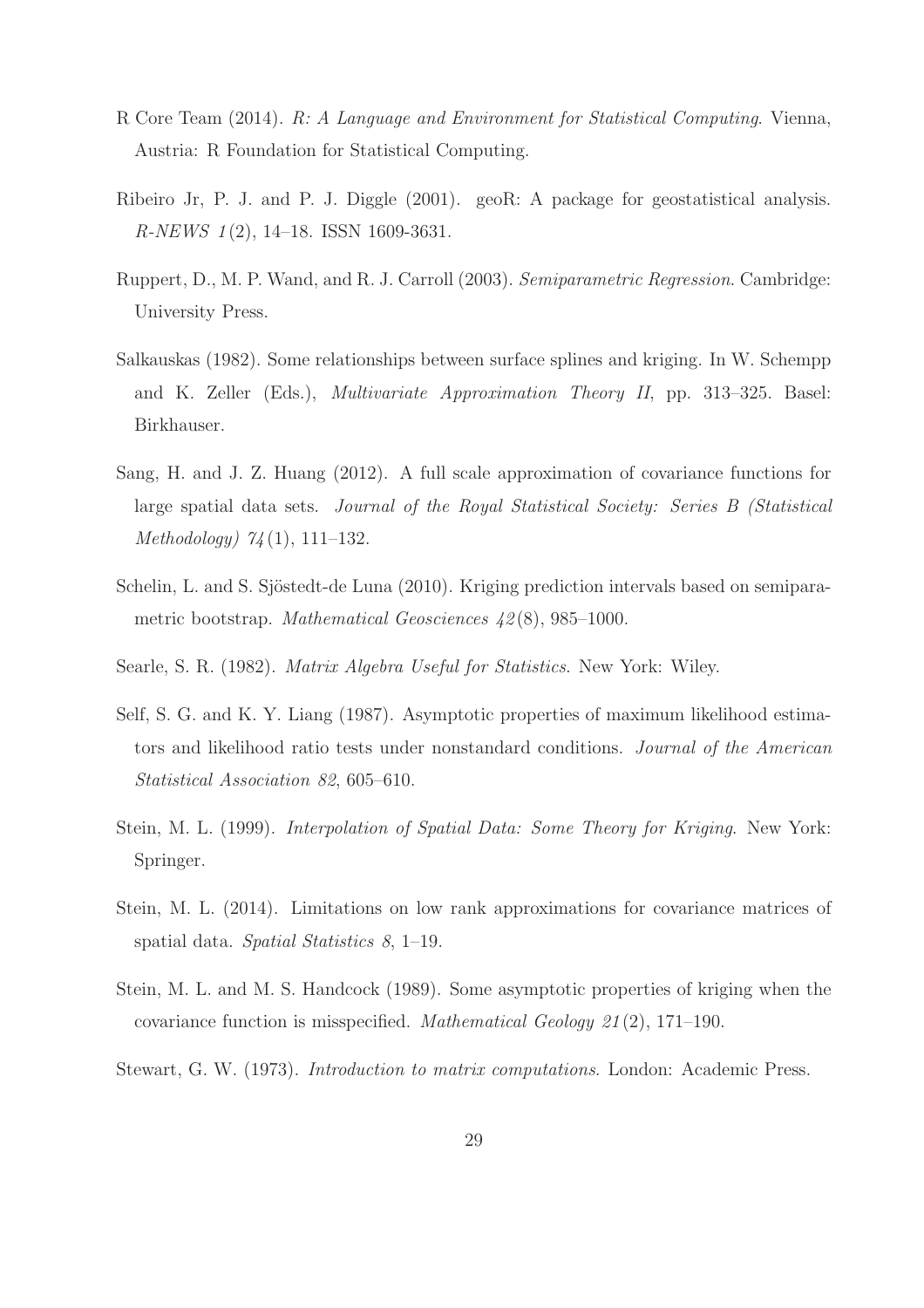- R Core Team (2014). *R: A Language and Environment for Statistical Computing*. Vienna, Austria: R Foundation for Statistical Computing.
- Ribeiro Jr, P. J. and P. J. Diggle (2001). geoR: A package for geostatistical analysis. *R-NEWS 1* (2), 14–18. ISSN 1609-3631.
- Ruppert, D., M. P. Wand, and R. J. Carroll (2003). *Semiparametric Regression*. Cambridge: University Press.
- Salkauskas (1982). Some relationships between surface splines and kriging. In W. Schempp and K. Zeller (Eds.), *Multivariate Approximation Theory II*, pp. 313–325. Basel: Birkhauser.
- Sang, H. and J. Z. Huang (2012). A full scale approximation of covariance functions for large spatial data sets. *Journal of the Royal Statistical Society: Series B (Statistical Methodology) 74* (1), 111–132.
- Schelin, L. and S. Sjöstedt-de Luna (2010). Kriging prediction intervals based on semiparametric bootstrap. *Mathematical Geosciences 42* (8), 985–1000.
- Searle, S. R. (1982). *Matrix Algebra Useful for Statistics*. New York: Wiley.
- Self, S. G. and K. Y. Liang (1987). Asymptotic properties of maximum likelihood estimators and likelihood ratio tests under nonstandard conditions. *Journal of the American Statistical Association 82*, 605–610.
- Stein, M. L. (1999). *Interpolation of Spatial Data: Some Theory for Kriging*. New York: Springer.
- Stein, M. L. (2014). Limitations on low rank approximations for covariance matrices of spatial data. *Spatial Statistics 8*, 1–19.
- Stein, M. L. and M. S. Handcock (1989). Some asymptotic properties of kriging when the covariance function is misspecified. *Mathematical Geology 21* (2), 171–190.
- Stewart, G. W. (1973). *Introduction to matrix computations*. London: Academic Press.